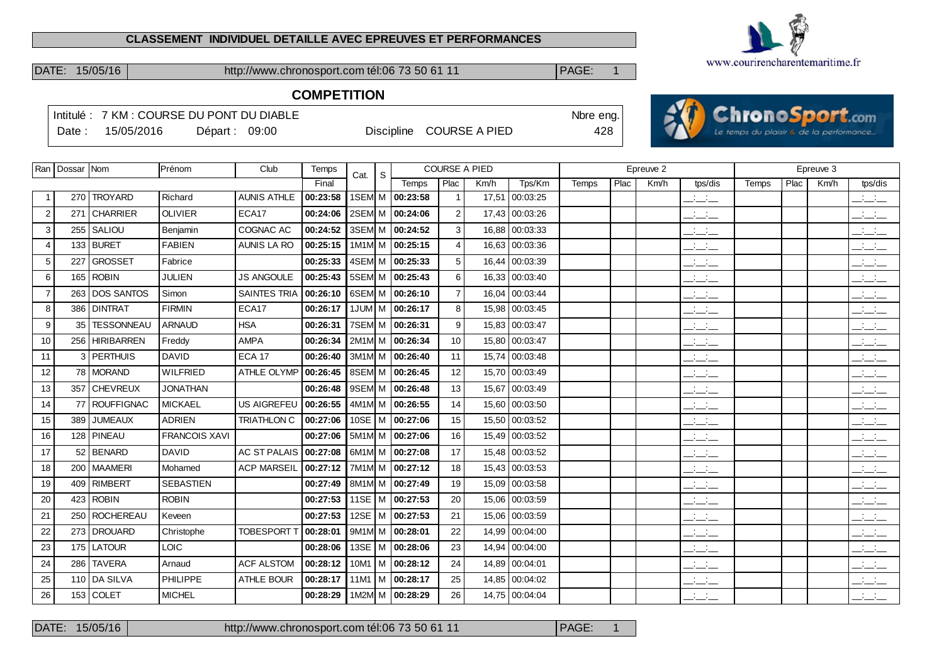#### **CLASSEMENT INDIVIDUEL DETAILLE AVEC EPREUVES ET PERFORMANCES**



DATE: 15/05/16 http://www.chronosport.com tél:06 73 50 61 11 | PAGE: 1

# **COMPETITION**

|                |                    |                 | Intitulé: 7 KM : COURSE DU PONT DU DIABLE |                     |          |                                |                          |                |                      |                | Nbre eng. |      |           | <b>AVIChronoSport.com</b>                 |                                          |      |           |                                 |
|----------------|--------------------|-----------------|-------------------------------------------|---------------------|----------|--------------------------------|--------------------------|----------------|----------------------|----------------|-----------|------|-----------|-------------------------------------------|------------------------------------------|------|-----------|---------------------------------|
|                | Date:              | 15/05/2016      |                                           | Départ: 09:00       |          |                                | Discipline COURSE A PIED |                |                      |                | 428       |      |           |                                           | Le temps du plaisir & de la performance. |      |           |                                 |
|                |                    |                 |                                           |                     |          |                                |                          |                |                      |                |           |      |           |                                           |                                          |      |           |                                 |
|                | Ran   Dossar   Nom |                 | Prénom                                    | Club                | Temps    | S<br>Cat.                      |                          |                | <b>COURSE A PIED</b> |                |           |      | Epreuve 2 |                                           |                                          |      | Epreuve 3 |                                 |
|                |                    |                 |                                           |                     | Final    |                                | Temps                    | Plac           | Km/h                 | Tps/Km         | Temps     | Plac | Km/h      | tps/dis                                   | Temps                                    | Plac | Km/h      | tps/dis                         |
| -1             |                    | 270 TROYARD     | Richard                                   | <b>AUNIS ATHLE</b>  | 00:23:58 | 1SEM M                         | 00:23:58                 |                |                      | 17,51 00:03:25 |           |      |           | $ -$                                      |                                          |      |           | $\frac{1}{2}$ and $\frac{1}{2}$ |
| 2              |                    | 271 CHARRIER    | <b>OLIVIER</b>                            | ECA17               | 00:24:06 | 2SEM M                         | 00:24:06                 | 2              |                      | 17,43 00:03:26 |           |      |           | للأسائل                                   |                                          |      |           | $\frac{1}{2}$                   |
| 3              |                    | 255   SALIOU    | Benjamin                                  | COGNAC AC           | 00:24:52 | 3SEM M                         | 00:24:52                 | 3              |                      | 16,88 00:03:33 |           |      |           | سأسأب                                     |                                          |      |           | $\frac{1}{2}$                   |
| $\overline{4}$ |                    | 133 BURET       | <b>FABIEN</b>                             | <b>AUNIS LA RO</b>  | 00:25:15 | 1M1M M                         | 00:25:15                 | $\overline{4}$ | 16,63                | 00:03:36       |           |      |           | $ -$                                      |                                          |      |           | للأسائل                         |
| 5              | 227                | <b>GROSSET</b>  | Fabrice                                   |                     | 00:25:33 | 4SEM M                         | 00:25:33                 | 5              |                      | 16,44 00:03:39 |           |      |           | $\mathcal{L} = \mathcal{L}$               |                                          |      |           | للأساد                          |
| 6              |                    | 165 ROBIN       | <b>JULIEN</b>                             | <b>JS ANGOULE</b>   | 00:25:43 | 5SEM M                         | 00:25:43                 | 6              | 16,33                | 00:03:40       |           |      |           | للأسائد                                   |                                          |      |           | للأسائد                         |
| $\overline{7}$ |                    | 263 DOS SANTOS  | Simon                                     | <b>SAINTES TRIA</b> | 00:26:10 |                                | 6SEM M 00:26:10          | $\overline{7}$ |                      | 16,04 00:03:44 |           |      |           | $\frac{1}{2}$ $\frac{1}{2}$ $\frac{1}{2}$ |                                          |      |           | للأساد                          |
| 8              |                    | 386 DINTRAT     | <b>FIRMIN</b>                             | ECA17               | 00:26:17 |                                | 1JUM M 00:26:17          | 8              | 15,98                | 00:03:45       |           |      |           | $\frac{1}{2}$ and $\frac{1}{2}$           |                                          |      |           | للأسائل                         |
| 9              |                    | 35   TESSONNEAU | <b>ARNAUD</b>                             | <b>HSA</b>          | 00:26:31 | 7SEM M                         | 00:26:31                 | 9              |                      | 15,83 00:03:47 |           |      |           | $ -$                                      |                                          |      |           | $\frac{1}{2}$ and $\frac{1}{2}$ |
| 10             |                    | 256 HIRIBARREN  | Freddy                                    | <b>AMPA</b>         | 00:26:34 | $2M1M$ M                       | 00:26:34                 | 10             | 15,80                | 00:03:47       |           |      |           | $\overline{\phantom{a}}$                  |                                          |      |           | $\frac{1}{2}$ and $\frac{1}{2}$ |
| 11             |                    | 3 PERTHUIS      | <b>DAVID</b>                              | <b>ECA 17</b>       | 00:26:40 |                                | 3M1M M 00:26:40          | 11             |                      | 15,74 00:03:48 |           |      |           | $\overline{\phantom{a}}$                  |                                          |      |           | $\frac{1}{2}$ and $\frac{1}{2}$ |
| 12             |                    | 78 MORAND       | <b>WILFRIED</b>                           | ATHLE OLYMP         | 00:26:45 |                                | 8SEM M   00:26:45        | 12             | 15,70                | 00:03:49       |           |      |           | $\overline{\phantom{a}}$                  |                                          |      |           | $\frac{1}{2}$                   |
| 13             |                    | 357 CHEVREUX    | <b>JONATHAN</b>                           |                     | 00:26:48 | 9SEM M                         | 00:26:48                 | 13             |                      | 15,67 00:03:49 |           |      |           | للأسائل                                   |                                          |      |           | للمناصب                         |
| 14             |                    | 77 ROUFFIGNAC   | <b>MICKAEL</b>                            | <b>US AIGREFEU</b>  | 00:26:55 | 4M1M M                         | 00:26:55                 | 14             | 15,60                | 00:03:50       |           |      |           | للأساس                                    |                                          |      |           | $\frac{1}{2}$ and $\frac{1}{2}$ |
| 15             |                    | 389 JUMEAUX     | <b>ADRIEN</b>                             | <b>TRIATHLON C</b>  | 00:27:06 | $10SE$ M                       | 00:27:06                 | 15             |                      | 15,50 00:03:52 |           |      |           | $\overline{\phantom{a}}$                  |                                          |      |           | للأسائل                         |
| 16             |                    | 128 PINEAU      | <b>FRANCOIS XAVI</b>                      |                     | 00:27:06 | 5M <sub>1</sub> M <sub>M</sub> | 00:27:06                 | 16             | 15,49                | 00:03:52       |           |      |           | $ -$                                      |                                          |      |           | للأسائد                         |
| 17             |                    | 52 BENARD       | <b>DAVID</b>                              | <b>AC ST PALAIS</b> | 00:27:08 | 6M1M M                         | 00:27:08                 | 17             |                      | 15,48 00:03:52 |           |      |           | $\overline{\phantom{a}}$                  |                                          |      |           | $\mathbb{R}$ and $\mathbb{R}$   |
| 18             |                    | 200   MAAMERI   | Mohamed                                   | <b>ACP MARSEIL</b>  | 00:27:12 | 7M1M M                         | 00:27:12                 | 18             | 15,43                | 00:03:53       |           |      |           | $  -$                                     |                                          |      |           | $\frac{1}{2}$ and $\frac{1}{2}$ |
| 19             |                    | 409 RIMBERT     | <b>SEBASTIEN</b>                          |                     | 00:27:49 | 8M1M M                         | 00:27:49                 | 19             | 15,09                | 00:03:58       |           |      |           | $ -$                                      |                                          |      |           | $\frac{1}{2}$ and $\frac{1}{2}$ |
| 20             | 423                | <b>ROBIN</b>    | <b>ROBIN</b>                              |                     | 00:27:53 | 11SE $ M$                      | 00:27:53                 | 20             | 15,06                | 00:03:59       |           |      |           | $ -$                                      |                                          |      |           | $\frac{1}{2}$ and $\frac{1}{2}$ |
| 21             |                    | 250 ROCHEREAU   | Keveen                                    |                     | 00:27:53 | 12SE $ M$                      | 00:27:53                 | 21             |                      | 15,06 00:03:59 |           |      |           | $ -$                                      |                                          |      |           | $\mathbb{R}$ and $\mathbb{R}$   |
| 22             |                    | 273 DROUARD     | Christophe                                | <b>TOBESPORT 1</b>  | 00:28:01 | 9M1M M                         | 00:28:01                 | 22             | 14,99                | 00:04:00       |           |      |           | $\overline{\phantom{a}}$                  |                                          |      |           | $\frac{1}{2}$                   |
| 23             |                    | 175 LATOUR      | <b>LOIC</b>                               |                     | 00:28:06 | 13SE $ M$                      | 00:28:06                 | 23             | 14,94                | 00:04:00       |           |      |           | $ -$                                      |                                          |      |           | $\mathbb{R}$ and $\mathbb{R}$   |
| 24             | 286                | <b>TAVERA</b>   | Arnaud                                    | <b>ACF ALSTOM</b>   | 00:28:12 | $10M1$ M                       | 00:28:12                 | 24             | 14,89                | 00:04:01       |           |      |           | $ -$                                      |                                          |      |           | $\mathbb{R}$ and $\mathbb{R}$   |
| 25             |                    | 110 DA SILVA    | PHILIPPE                                  | ATHLE BOUR          |          |                                | 00:28:17 11M1 M 00:28:17 | 25             |                      | 14,85 00:04:02 |           |      |           | <b>All Card</b><br>$  -$                  |                                          |      |           | $\frac{1}{2}$ and $\frac{1}{2}$ |

26 153 COLET MICHEL **00:28:29** 1M2M M 00:28:29 26 14,75 00:04:04

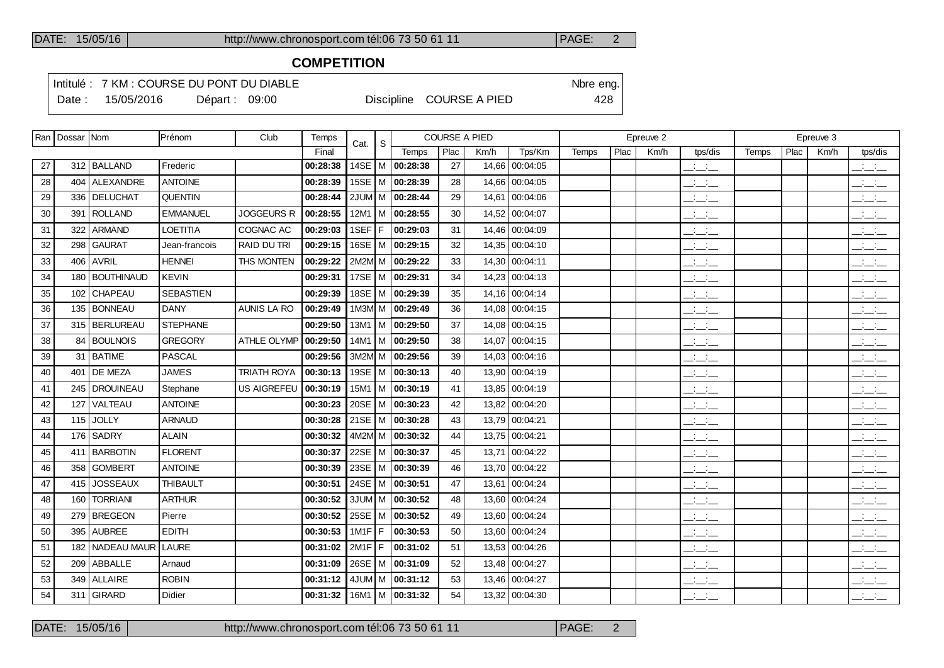#### **COMPETITION**

Intitulé : 7 KM : COURSE DU PONT DU DIABLE Note that the state of the SN of the eng.

Date : 15/05/2016 Départ : 09:00 Discipline COURSE A PIED 428

|    | Ran   Dossar   Nom |                   | Prénom           | Club               | Temps    | Cat.          | S. |                       | <b>COURSE A PIED</b> |       |                |       |      | Epreuve 2 |                                                       |       |      | Epreuve 3 |                                                       |
|----|--------------------|-------------------|------------------|--------------------|----------|---------------|----|-----------------------|----------------------|-------|----------------|-------|------|-----------|-------------------------------------------------------|-------|------|-----------|-------------------------------------------------------|
|    |                    |                   |                  |                    | Final    |               |    | Temps                 | Plac                 | Km/h  | Tps/Km         | Temps | Plac | Km/h      | tps/dis                                               | Temps | Plac | Km/h      | tps/dis                                               |
| 27 |                    | 312   BALLAND     | Frederic         |                    | 00:28:38 |               |    | 14SE   M   00:28:38   | 27                   | 14,66 | 00:04:05       |       |      |           | $\frac{1}{2}$ and $\frac{1}{2}$                       |       |      |           | $\overline{\phantom{a}}$ $\overline{\phantom{a}}$     |
| 28 |                    | 404 ALEXANDRE     | <b>ANTOINE</b>   |                    | 00:28:39 | 15SE   M      |    | 00:28:39              | 28                   |       | 14,66 00:04:05 |       |      |           | $\overline{\phantom{a}}$                              |       |      |           | بالبياني                                              |
| 29 |                    | 336   DELUCHAT    | QUENTIN          |                    | 00:28:44 |               |    | 2JUM M 00:28:44       | 29                   | 14,61 | 00:04:06       |       |      |           | $\frac{1}{2}$ and $\frac{1}{2}$                       |       |      |           | بانيت                                                 |
| 30 |                    | 391   ROLLAND     | <b>EMMANUEL</b>  | JOGGEURS R         | 00:28:55 |               |    | 12M1   M   00:28:55   | 30                   |       | 14,52 00:04:07 |       |      |           | $\frac{1}{2}$ and $\frac{1}{2}$                       |       |      |           | $\overline{\phantom{a}}$                              |
| 31 | 322                | ARMAND            | <b>LOETITIA</b>  | COGNAC AC          | 00:29:03 | 1SEF F        |    | 00:29:03              | 31                   |       | 14,46 00:04:09 |       |      |           | للمستحق                                               |       |      |           | $\frac{1}{2}$                                         |
| 32 |                    | 298 GAURAT        | Jean-francois    | <b>RAID DU TRI</b> | 00:29:15 | 16SE   M      |    | 00:29:15              | 32                   |       | 14,35 00:04:10 |       |      |           | $ -$                                                  |       |      |           | بانبات                                                |
| 33 |                    | $406$ AVRIL       | <b>HENNEI</b>    | THS MONTEN         | 00:29:22 |               |    | 2M2M M 00:29:22       | 33                   |       | 14,30 00:04:11 |       |      |           | $\overline{\phantom{a}}$                              |       |      |           | $\overline{\phantom{a}}$                              |
| 34 |                    | 180   BOUTHINAUD  | <b>KEVIN</b>     |                    | 00:29:31 |               |    | 17SE   M   00:29:31   | 34                   |       | 14,23 00:04:13 |       |      |           | $ -$                                                  |       |      |           | $\overline{\phantom{a}}$ and $\overline{\phantom{a}}$ |
| 35 |                    | 102 CHAPEAU       | <b>SEBASTIEN</b> |                    | 00:29:39 |               |    | 18SE   M   00:29:39   | 35                   |       | 14,16 00:04:14 |       |      |           | $\mathcal{L} = \mathcal{L}$                           |       |      |           | $\overline{\phantom{a}}$                              |
| 36 |                    | 135   BONNEAU     | <b>DANY</b>      | <b>AUNIS LA RO</b> | 00:29:49 |               |    | 1M3M M 00:29:49       | 36                   |       | 14,08 00:04:15 |       |      |           | $ -$                                                  |       |      |           | $\overline{\phantom{a}}$                              |
| 37 |                    | 315 BERLUREAU     | <b>STEPHANE</b>  |                    | 00:29:50 |               |    | $13M1$   M   00:29:50 | 37                   |       | 14,08 00:04:15 |       |      |           | $\overline{\phantom{a}}$ and $\overline{\phantom{a}}$ |       |      |           | $\overline{\phantom{a}}$                              |
| 38 | 84                 | <b>BOULNOIS</b>   | <b>GREGORY</b>   | ATHLE OLYMP        | 00:29:50 |               |    | 14M1   M   00:29:50   | 38                   | 14,07 | 00:04:15       |       |      |           | $ -$                                                  |       |      |           | $\overline{\phantom{a}}$ $\overline{\phantom{a}}$     |
| 39 |                    | 31   BATIME       | PASCAL           |                    | 00:29:56 |               |    | 3M2M M 00:29:56       | 39                   |       | 14,03 00:04:16 |       |      |           | سأسأب                                                 |       |      |           | $\frac{1}{2}$ $\frac{1}{2}$ $\frac{1}{2}$             |
| 40 | 401                | DE MEZA           | <b>JAMES</b>     | <b>TRIATH ROYA</b> | 00:30:13 |               |    | 19SE   M   00:30:13   | 40                   |       | 13,90 00:04:19 |       |      |           | $\overline{\phantom{a}}$ and $\overline{\phantom{a}}$ |       |      |           | $\overline{\phantom{a}}$ and $\overline{\phantom{a}}$ |
| 41 |                    | 245   DROUINEAU   | Stephane         | US AIGREFEU        | 00:30:19 |               |    | 15M1   M   00:30:19   | 41                   |       | 13,85 00:04:19 |       |      |           | $\mathbb{Z}$ and $\mathbb{Z}$                         |       |      |           | $\overline{\phantom{a}}$ and $\overline{\phantom{a}}$ |
| 42 | 127                | VALTEAU           | <b>ANTOINE</b>   |                    | 00:30:23 |               |    | 20SE   M   00:30:23   | 42                   |       | 13,82 00:04:20 |       |      |           | $ -$                                                  |       |      |           | $\overline{\phantom{a}}$ and $\overline{\phantom{a}}$ |
| 43 | 115                | <b>JOLLY</b>      | <b>ARNAUD</b>    |                    | 00:30:28 |               |    | 21SE   M   00:30:28   | 43                   |       | 13,79 00:04:21 |       |      |           | $\overline{\phantom{a}}$ and $\overline{\phantom{a}}$ |       |      |           | $\overline{\phantom{a}}$ $\overline{\phantom{a}}$     |
| 44 |                    | 176 SADRY         | <b>ALAIN</b>     |                    | 00:30:32 |               |    | 4M2M M 00:30:32       | 44                   |       | 13,75 00:04:21 |       |      |           | $\overline{\phantom{a}}$                              |       |      |           | $\overline{\phantom{a}}$ and $\overline{\phantom{a}}$ |
| 45 |                    | 411   BARBOTIN    | <b>FLORENT</b>   |                    | 00:30:37 |               |    | 22SE   M   00:30:37   | 45                   |       | 13,71 00:04:22 |       |      |           | المنافسات                                             |       |      |           | للأسائب                                               |
| 46 |                    | 358 GOMBERT       | <b>ANTOINE</b>   |                    | 00:30:39 |               |    | 23SE   M   00:30:39   | 46                   |       | 13,70 00:04:22 |       |      |           | $\overline{\phantom{a}}$                              |       |      |           | $\overline{\phantom{a}}$ $\overline{\phantom{a}}$     |
| 47 | 415                | <b>JOSSEAUX</b>   | <b>THIBAULT</b>  |                    | 00:30:51 |               |    | 24SE   M   00:30:51   | 47                   |       | 13.61 00:04:24 |       |      |           | $\mathbb{Z}$ and $\mathbb{Z}$                         |       |      |           | $\overline{\phantom{a}}$ $\overline{\phantom{a}}$     |
| 48 | 160                | <b>TORRIANI</b>   | <b>ARTHUR</b>    |                    | 00:30:52 |               |    | 3JUM M $ 00:30:52$    | 48                   |       | 13,60 00:04:24 |       |      |           | $\overline{\phantom{a}}$                              |       |      |           | <b>Contract</b><br>$  -$                              |
| 49 |                    | 279 BREGEON       | Pierre           |                    | 00:30:52 |               |    | 25SE   M   00:30:52   | 49                   |       | 13,60 00:04:24 |       |      |           | $-1$                                                  |       |      |           | $\overline{\phantom{a}}$ and $\overline{\phantom{a}}$ |
| 50 | 395                | <b>AUBREE</b>     | <b>EDITH</b>     |                    | 00:30:53 | $1$ M1F $ F $ |    | 00:30:53              | 50                   |       | 13,60 00:04:24 |       |      |           | $\frac{1}{2}$ and $\frac{1}{2}$                       |       |      |           | بالبائب                                               |
| 51 |                    | 182   NADEAU MAUR | <b>LAURE</b>     |                    | 00:31:02 | $2M1F$ F      |    | 00:31:02              | 51                   |       | 13,53 00:04:26 |       |      |           | $\frac{1}{2}$ and $\frac{1}{2}$                       |       |      |           | $\overline{\phantom{a}}$                              |
| 52 |                    | 209 ABBALLE       | Arnaud           |                    | 00:31:09 | 26SE   M      |    | 00:31:09              | 52                   |       | 13,48 00:04:27 |       |      |           | $  -$                                                 |       |      |           | $  -$                                                 |
| 53 |                    | 349 ALLAIRE       | <b>ROBIN</b>     |                    | 00:31:12 |               |    | $4JUM/M$ 00:31:12     | 53                   |       | 13,46 00:04:27 |       |      |           | $ -$                                                  |       |      |           | <b>Contract Contract</b><br>$  -$                     |
| 54 |                    | 311 GIRARD        | Didier           |                    | 00:31:32 |               |    | $16M1$ M $ 00:31:32$  | 54                   |       | 13,32 00:04:30 |       |      |           | $\frac{1}{2}$ and $\frac{1}{2}$                       |       |      |           | $ -$                                                  |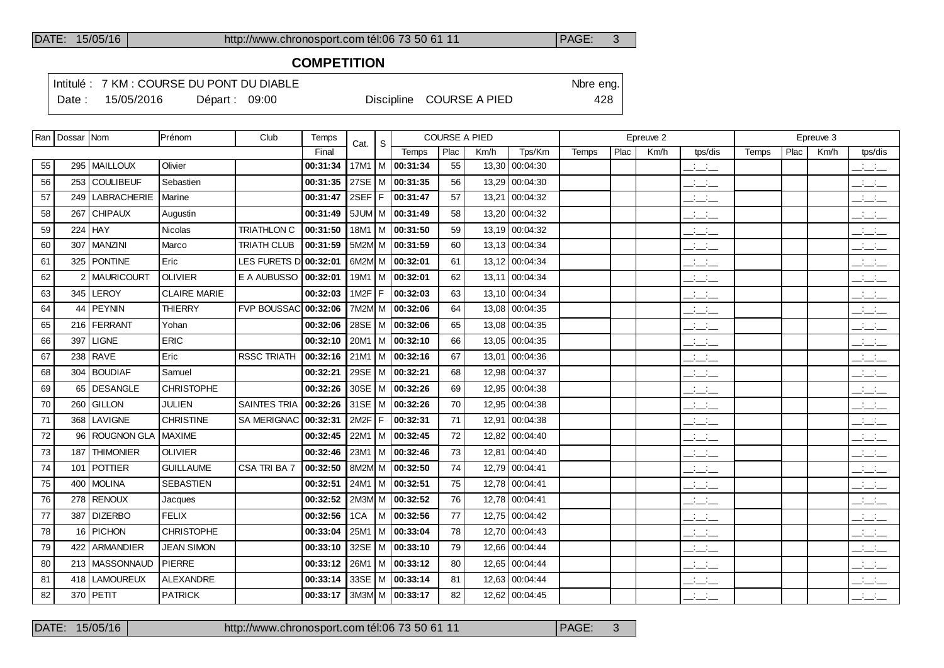### **COMPETITION**

Intitulé : 7 KM : COURSE DU PONT DU DIABLE Note that the state of the SN of the eng.

Date : 15/05/2016 Départ : 09:00 Discipline COURSE A PIED 428

|    | Ran   Dossar   Nom |                  | Prénom              | Club                  | Temps    | Cat.     | S   |                       | <b>COURSE A PIED</b> |      |                |       |      | Epreuve 2 |                                 |       |      | Epreuve 3 |                                                                                                                                                                                                                                                                                                                     |
|----|--------------------|------------------|---------------------|-----------------------|----------|----------|-----|-----------------------|----------------------|------|----------------|-------|------|-----------|---------------------------------|-------|------|-----------|---------------------------------------------------------------------------------------------------------------------------------------------------------------------------------------------------------------------------------------------------------------------------------------------------------------------|
|    |                    |                  |                     |                       | Final    |          |     | Temps                 | Plac                 | Km/h | Tps/Km         | Temps | Plac | Km/h      | tps/dis                         | Temps | Plac | Km/h      | tps/dis                                                                                                                                                                                                                                                                                                             |
| 55 |                    | 295   MAILLOUX   | Olivier             |                       | 00:31:34 |          |     | 17M1   M   00:31:34   | 55                   |      | 13,30 00:04:30 |       |      |           | $\frac{1}{2}$ and $\frac{1}{2}$ |       |      |           | $\mathcal{L} = \mathcal{L}$                                                                                                                                                                                                                                                                                         |
| 56 |                    | 253 COULIBEUF    | Sebastien           |                       | 00:31:35 |          |     | 27SE   M   00:31:35   | 56                   |      | 13,29 00:04:30 |       |      |           | $\frac{1}{2}$                   |       |      |           | للأسائد                                                                                                                                                                                                                                                                                                             |
| 57 |                    | 249 LABRACHERIE  | <b>Marine</b>       |                       | 00:31:47 | 2SEF F   |     | 00:31:47              | 57                   |      | 13,21 00:04:32 |       |      |           | للأسائد                         |       |      |           | $\overline{\phantom{a}}$                                                                                                                                                                                                                                                                                            |
| 58 | 267                | <b>CHIPAUX</b>   | Augustin            |                       | 00:31:49 |          |     | $5JUM/M$ 00:31:49     | 58                   |      | 13,20 00:04:32 |       |      |           | $ -$                            |       |      |           | للأسائد                                                                                                                                                                                                                                                                                                             |
| 59 |                    | 224 $HAY$        | Nicolas             | <b>TRIATHLON C</b>    | 00:31:50 |          |     | $18M1$   M   00:31:50 | 59                   |      | 13,19 00:04:32 |       |      |           | للأسائل                         |       |      |           | للمناصب                                                                                                                                                                                                                                                                                                             |
| 60 |                    | 307 MANZINI      | Marco               | <b>TRIATH CLUB</b>    | 00:31:59 |          |     | 5M2M M 00:31:59       | 60                   |      | 13,13 00:04:34 |       |      |           | $\frac{1}{2}$                   |       |      |           | $\frac{1}{2}$                                                                                                                                                                                                                                                                                                       |
| 61 |                    | 325 PONTINE      | Eric                | LES FURETS D 00:32:01 |          |          |     | 6M2M M 00:32:01       | 61                   |      | 13,12 00:04:34 |       |      |           | $\overline{\phantom{a}}$        |       |      |           | $\frac{1}{2}$                                                                                                                                                                                                                                                                                                       |
| 62 |                    | 2   MAURICOURT   | <b>OLIVIER</b>      | E A AUBUSSO           | 00:32:01 |          |     | 19M1   M   00:32:01   | 62                   |      | 13,11 00:04:34 |       |      |           | $\frac{1}{2}$                   |       |      |           | $\frac{1}{2}$ and $\frac{1}{2}$                                                                                                                                                                                                                                                                                     |
| 63 |                    | 345 LEROY        | <b>CLAIRE MARIE</b> |                       | 00:32:03 | $1M2F$ F |     | 00:32:03              | 63                   |      | 13,10 00:04:34 |       |      |           | $\frac{1}{2}$                   |       |      |           | $\frac{1}{2}$                                                                                                                                                                                                                                                                                                       |
| 64 | 44                 | <b>PEYNIN</b>    | <b>THIERRY</b>      | <b>FVP BOUSSAC</b>    | 00:32:06 |          |     | 7M2M M 00:32:06       | 64                   |      | 13,08 00:04:35 |       |      |           | $\overline{\phantom{a}}$        |       |      |           | $\frac{1}{2}$ and $\frac{1}{2}$                                                                                                                                                                                                                                                                                     |
| 65 |                    | 216 FERRANT      | Yohan               |                       | 00:32:06 |          |     | 28SE   M   00:32:06   | 65                   |      | 13,08 00:04:35 |       |      |           | $\frac{1}{2}$                   |       |      |           | $\frac{1}{2}$                                                                                                                                                                                                                                                                                                       |
| 66 | 397                | <b>LIGNE</b>     | ERIC                |                       | 00:32:10 |          |     | $20M1$   M   00:32:10 | 66                   |      | 13,05 00:04:35 |       |      |           | $\overline{\phantom{a}}$        |       |      |           | $\frac{1}{2}$                                                                                                                                                                                                                                                                                                       |
| 67 |                    | 238 RAVE         | Eric                | <b>RSSC TRIATH</b>    | 00:32:16 |          |     | $21M1$ M $ $ 00:32:16 | 67                   |      | 13,01 00:04:36 |       |      |           | $\overline{\phantom{a}}$        |       |      |           | $\overline{\phantom{a}}$                                                                                                                                                                                                                                                                                            |
| 68 |                    | 304 BOUDIAF      | Samuel              |                       | 00:32:21 |          |     | 29SE M 00:32:21       | 68                   |      | 12,98 00:04:37 |       |      |           | $\frac{1}{2}$                   |       |      |           | $\frac{1}{2}$                                                                                                                                                                                                                                                                                                       |
| 69 |                    | 65 DESANGLE      | <b>CHRISTOPHE</b>   |                       | 00:32:26 |          |     | 30SE   M   00:32:26   | 69                   |      | 12,95 00:04:38 |       |      |           | $\frac{1}{2}$                   |       |      |           | $\overline{\phantom{a}}$                                                                                                                                                                                                                                                                                            |
| 70 |                    | 260 GILLON       | <b>JULIEN</b>       | <b>SAINTES TRIA</b>   | 00:32:26 |          |     | 31SE   M   00:32:26   | 70                   |      | 12,95 00:04:38 |       |      |           | $\overline{\phantom{a}}$        |       |      |           | $\frac{1}{2}$ and $\frac{1}{2}$                                                                                                                                                                                                                                                                                     |
| 71 | 368                | LAVIGNE          | <b>CHRISTINE</b>    | SA MERIGNAC           | 00:32:31 | 2M2F     | IF. | 00:32:31              | 71                   |      | 12,91 00:04:38 |       |      |           | للأساب                          |       |      |           | $\frac{1}{2}$                                                                                                                                                                                                                                                                                                       |
| 72 |                    | 96 ROUGNON GLA   | <b>MAXIME</b>       |                       | 00:32:45 | 22M1     |     | $ M $ 00:32:45        | 72                   |      | 12,82 00:04:40 |       |      |           | $\overline{a}$                  |       |      |           | $\overline{\phantom{a}}$                                                                                                                                                                                                                                                                                            |
| 73 |                    | 187 THIMONIER    | <b>OLIVIER</b>      |                       | 00:32:46 |          |     | 23M1   M   00:32:46   | 73                   |      | 12,81 00:04:40 |       |      |           | $\frac{1}{2}$                   |       |      |           | $\overline{\phantom{a}}$                                                                                                                                                                                                                                                                                            |
| 74 |                    | 101   POTTIER    | <b>GUILLAUME</b>    | CSA TRI BA 7          | 00:32:50 |          |     | 8M2M M   00:32:50     | 74                   |      | 12,79 00:04:41 |       |      |           | $\frac{1}{2}$ and $\frac{1}{2}$ |       |      |           | $ -$                                                                                                                                                                                                                                                                                                                |
| 75 |                    | 400 MOLINA       | SEBASTIEN           |                       | 00:32:51 |          |     | 24M1 M 00:32:51       | 75                   |      | 12,78 00:04:41 |       |      |           | للمستحدث                        |       |      |           | $\frac{1}{2}$                                                                                                                                                                                                                                                                                                       |
| 76 |                    | 278 RENOUX       | Jacques             |                       | 00:32:52 |          |     | 2M3M M 00:32:52       | 76                   |      | 12,78 00:04:41 |       |      |           | $\frac{1}{2}$                   |       |      |           | $\overline{\phantom{a}}$                                                                                                                                                                                                                                                                                            |
| 77 |                    | 387 DIZERBO      | <b>FELIX</b>        |                       | 00:32:56 | 1CA      |     | M 00:32:56            | 77                   |      | 12,75 00:04:42 |       |      |           | $\overline{\phantom{a}}$        |       |      |           | $\overline{\phantom{a}}$                                                                                                                                                                                                                                                                                            |
| 78 |                    | 16 PICHON        | <b>CHRISTOPHE</b>   |                       | 00:33:04 | 25M1     |     | $ M $ 00:33:04        | 78                   |      | 12,70 00:04:43 |       |      |           | $\overline{\phantom{a}}$        |       |      |           | $\frac{1}{2}$                                                                                                                                                                                                                                                                                                       |
| 79 | 422                | ARMANDIER        | <b>JEAN SIMON</b>   |                       | 00:33:10 |          |     | 32SE   M   00:33:10   | 79                   |      | 12,66 00:04:44 |       |      |           | $\frac{1}{2}$                   |       |      |           | $\overline{\phantom{a}}$                                                                                                                                                                                                                                                                                            |
| 80 |                    | 213   MASSONNAUD | <b>PIERRE</b>       |                       | 00:33:12 |          |     | 26M1   M   00:33:12   | 80                   |      | 12,65 00:04:44 |       |      |           | سأنسأ                           |       |      |           | $\frac{1}{2}$ $\frac{1}{2}$ $\frac{1}{2}$ $\frac{1}{2}$ $\frac{1}{2}$ $\frac{1}{2}$ $\frac{1}{2}$ $\frac{1}{2}$ $\frac{1}{2}$ $\frac{1}{2}$ $\frac{1}{2}$ $\frac{1}{2}$ $\frac{1}{2}$ $\frac{1}{2}$ $\frac{1}{2}$ $\frac{1}{2}$ $\frac{1}{2}$ $\frac{1}{2}$ $\frac{1}{2}$ $\frac{1}{2}$ $\frac{1}{2}$ $\frac{1}{2}$ |
| 81 | 418                | <b>LAMOUREUX</b> | ALEXANDRE           |                       | 00:33:14 |          |     | 33SE   M   00:33:14   | 81                   |      | 12,63 00:04:44 |       |      |           | $\overline{\phantom{a}}$        |       |      |           | $\mathbb{R}$ and $\mathbb{R}$                                                                                                                                                                                                                                                                                       |
| 82 |                    | 370 PETIT        | <b>PATRICK</b>      |                       | 00:33:17 |          |     | 3M3M M 00:33:17       | 82                   |      | 12,62 00:04:45 |       |      |           | للمناصب                         |       |      |           | للأساب                                                                                                                                                                                                                                                                                                              |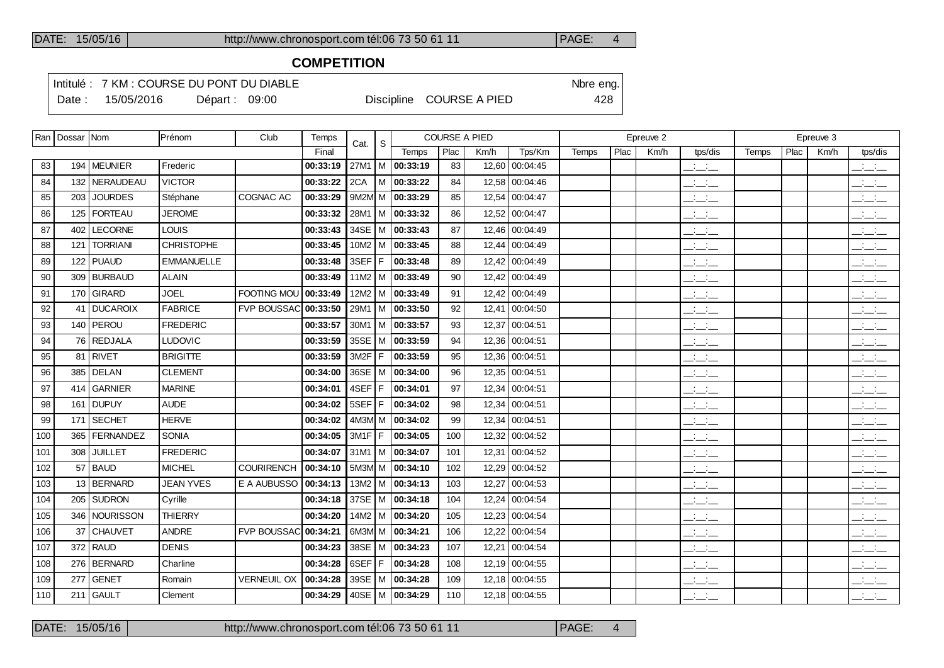## **COMPETITION**

Intitulé : 7 KM : COURSE DU PONT DU DIABLE Note that the state of the SN of the eng.

Date : 15/05/2016 Départ : 09:00 Discipline COURSE A PIED 428

|     | Ran   Dossar   Nom |                 | Prénom            | Club                 | Temps    | Cat.     | <sub>S</sub> |                       | <b>COURSE A PIED</b> |       |                |       |      | Epreuve 2 |                                 |       |      | Epreuve 3 |                                                                            |
|-----|--------------------|-----------------|-------------------|----------------------|----------|----------|--------------|-----------------------|----------------------|-------|----------------|-------|------|-----------|---------------------------------|-------|------|-----------|----------------------------------------------------------------------------|
|     |                    |                 |                   |                      | Final    |          |              | Temps                 | Plac                 | Km/h  | Tps/Km         | Temps | Plac | Km/h      | tps/dis                         | Temps | Plac | Km/h      | tps/dis                                                                    |
| 83  |                    | 194   MEUNIER   | Frederic          |                      | 00:33:19 | 27M1     |              | $ M $ 00:33:19        | 83                   | 12,60 | 00:04:45       |       |      |           | $\overline{\phantom{a}}$        |       |      |           | $\overline{\phantom{a}}$ $\overline{\phantom{a}}$                          |
| 84  |                    | 132 NERAUDEAU   | <b>VICTOR</b>     |                      | 00:33:22 | 2CA      | M            | 00:33:22              | 84                   |       | 12,58 00:04:46 |       |      |           | $\frac{1}{2}$ and $\frac{1}{2}$ |       |      |           | $\overline{\phantom{a}}$                                                   |
| 85  | 203 l              | <b>JOURDES</b>  | Stéphane          | COGNAC AC            | 00:33:29 |          |              | 9M2M M   00:33:29     | 85                   | 12,54 | 00:04:47       |       |      |           | $\mathbb{Z}$ and $\mathbb{Z}$   |       |      |           | $\overline{\phantom{a}}$                                                   |
| 86  |                    | 125   FORTEAU   | <b>JEROME</b>     |                      | 00:33:32 | 28M1     |              | $ M $ 00:33:32        | 86                   |       | 12,52 00:04:47 |       |      |           | $\frac{1}{2}$ and $\frac{1}{2}$ |       |      |           | $\overline{\phantom{a}}$                                                   |
| 87  |                    | 402   LECORNE   | <b>LOUIS</b>      |                      | 00:33:43 |          |              | 34SE   M   00:33:43   | 87                   |       | 12,46 00:04:49 |       |      |           | $\frac{1}{2}$ and $\frac{1}{2}$ |       |      |           | $\overline{\phantom{a}}$                                                   |
| 88  | 121                | <b>TORRIANI</b> | <b>CHRISTOPHE</b> |                      | 00:33:45 | 10M2   M |              | 00:33:45              | 88                   |       | 12,44 00:04:49 |       |      |           | $  -$                           |       |      |           | $\equiv$ $\equiv$ $\equiv$                                                 |
| 89  |                    | 122 PUAUD       | <b>EMMANUELLE</b> |                      | 00:33:48 | 3SEF     | IF.          | 00:33:48              | 89                   |       | 12,42 00:04:49 |       |      |           | $\overline{\phantom{a}}$        |       |      |           | بالبياني                                                                   |
| 90  |                    | 309 BURBAUD     | <b>ALAIN</b>      |                      | 00:33:49 | 11M2   M |              | 00:33:49              | 90                   |       | 12,42 00:04:49 |       |      |           | $ -$                            |       |      |           | بانيت                                                                      |
| 91  |                    | 170 GIRARD      | <b>JOEL</b>       | FOOTING MOU 00:33:49 |          |          |              | 12M2   M   00:33:49   | 91                   |       | 12,42 00:04:49 |       |      |           | $ -$                            |       |      |           | $\overline{\phantom{a}}$ $\overline{\phantom{a}}$ $\overline{\phantom{a}}$ |
| 92  | 41                 | DUCAROIX        | <b>FABRICE</b>    | <b>FVP BOUSSAC</b>   | 00:33:50 | 29M1     |              | M 00:33:50            | 92                   | 12,41 | 00:04:50       |       |      |           | $\frac{1}{2}$ and $\frac{1}{2}$ |       |      |           | $\overline{\phantom{a}}$                                                   |
| 93  |                    | 140   PEROU     | <b>FREDERIC</b>   |                      | 00:33:57 |          |              | 30M1   M   00:33:57   | 93                   | 12,37 | 00:04:51       |       |      |           | $\overline{\phantom{a}}$        |       |      |           | $\overline{\phantom{a}}$                                                   |
| 94  |                    | 76 REDJALA      | <b>LUDOVIC</b>    |                      | 00:33:59 | 35SE   M |              | 00:33:59              | 94                   |       | 12,36 00:04:51 |       |      |           | $ -$                            |       |      |           | $\overline{\phantom{a}}$                                                   |
| 95  |                    | 81 RIVET        | <b>BRIGITTE</b>   |                      | 00:33:59 | $3M2F$ F |              | 00:33:59              | 95                   |       | 12,36 00:04:51 |       |      |           | $\frac{1}{2}$ and $\frac{1}{2}$ |       |      |           | بانيت                                                                      |
| 96  |                    | 385   DELAN     | <b>CLEMENT</b>    |                      | 00:34:00 | 36SE   M |              | 00:34:00              | 96                   |       | 12,35 00:04:51 |       |      |           | $\frac{1}{2}$ and $\frac{1}{2}$ |       |      |           | $\sim 10^{-10}$ km $^{-1}$<br>$  -$                                        |
| 97  |                    | 414 GARNIER     | <b>MARINE</b>     |                      | 00:34:01 | 4SEF F   |              | 00:34:01              | 97                   |       | 12,34 00:04:51 |       |      |           | للمناصب                         |       |      |           | $\overline{\phantom{a}}$                                                   |
| 98  |                    | 161 DUPUY       | <b>AUDE</b>       |                      | 00:34:02 | $5SEF$ F |              | 00:34:02              | 98                   | 12,34 | 00:04:51       |       |      |           | $\overline{\phantom{a}}$        |       |      |           | $\overline{\phantom{a}}$                                                   |
| 99  |                    | 171 SECHET      | <b>HERVE</b>      |                      | 00:34:02 |          |              | $4M3M/M$ 00:34:02     | 99                   |       | 12,34 00:04:51 |       |      |           | $\mathcal{L} = \mathcal{L}$     |       |      |           | بانيت                                                                      |
| 100 |                    | 365   FERNANDEZ | SONIA             |                      | 00:34:05 | $3M1F$ F |              | 00:34:05              | 100                  | 12,32 | 00:04:52       |       |      |           | $\frac{1}{2}$ and $\frac{1}{2}$ |       |      |           | $\sim 10^{-10}$ m $^{-1}$<br>$  -$                                         |
| 101 | 308                | <b>JUILLET</b>  | <b>FREDERIC</b>   |                      | 00:34:07 |          |              | 31M1 M 00:34:07       | 101                  |       | 12,31 00:04:52 |       |      |           | $\overline{\phantom{a}}$        |       |      |           | $\overline{\phantom{a}}$                                                   |
| 102 | 57                 | <b>BAUD</b>     | <b>MICHEL</b>     | <b>COURIRENCH</b>    | 00:34:10 |          |              | 5M3M M 00:34:10       | 102                  | 12,29 | 00:04:52       |       |      |           | $ -$                            |       |      |           | $\overline{\phantom{a}}$                                                   |
| 103 |                    | 13 BERNARD      | <b>JEAN YVES</b>  | E A AUBUSSO          | 00:34:13 |          |              | $13M2$   M   00:34:13 | 103                  | 12,27 | 00:04:53       |       |      |           | $ -$                            |       |      |           | $\overline{\phantom{a}}$                                                   |
| 104 |                    | 205   SUDRON    | Cyrille           |                      | 00:34:18 |          |              | 37SE   M   00:34:18   | 104                  | 12,24 | 00:04:54       |       |      |           | $ -$                            |       |      |           | $\sim 10^{-10}$ km $^{-1}$<br>---                                          |
| 105 |                    | 346   NOURISSON | <b>THIERRY</b>    |                      | 00:34:20 |          |              | 14M2   M   00:34:20   | 105                  |       | 12,23 00:04:54 |       |      |           | $\overline{\phantom{a}}$        |       |      |           | $\frac{1}{2}$ $\frac{1}{2}$ $\frac{1}{2}$                                  |
| 106 | 37                 | <b>CHAUVET</b>  | <b>ANDRE</b>      | <b>FVP BOUSSAC</b>   | 00:34:21 |          |              | 6M3M M 00:34:21       | 106                  | 12,22 | 00:04:54       |       |      |           | $\overline{\phantom{a}}$        |       |      |           | $\overline{\phantom{a}}$                                                   |
| 107 |                    | 372 RAUD        | <b>DENIS</b>      |                      | 00:34:23 |          |              | 38SE   M   00:34:23   | 107                  | 12,21 | 00:04:54       |       |      |           | $\overline{\phantom{a}}$        |       |      |           | $\frac{1}{2}$                                                              |
| 108 |                    | 276   BERNARD   | Charline          |                      | 00:34:28 | 6SEF     | F.           | 00:34:28              | 108                  |       | 12,19 00:04:55 |       |      |           | $ -$                            |       |      |           | <b>Contract Contract</b><br>$  -$                                          |
| 109 |                    | $277$ GENET     | Romain            | <b>VERNEUIL OX</b>   | 00:34:28 |          |              | 39SE   M   00:34:28   | 109                  |       | 12,18 00:04:55 |       |      |           | $ -$                            |       |      |           | $  -$                                                                      |
| 110 |                    | $211$ GAULT     | Clement           |                      | 00:34:29 |          |              | 40SE   M   00:34:29   | 110                  |       | 12,18 00:04:55 |       |      |           | $\mathbb{Z}$ and $\mathbb{Z}$   |       |      |           | $\overline{\phantom{a}}$                                                   |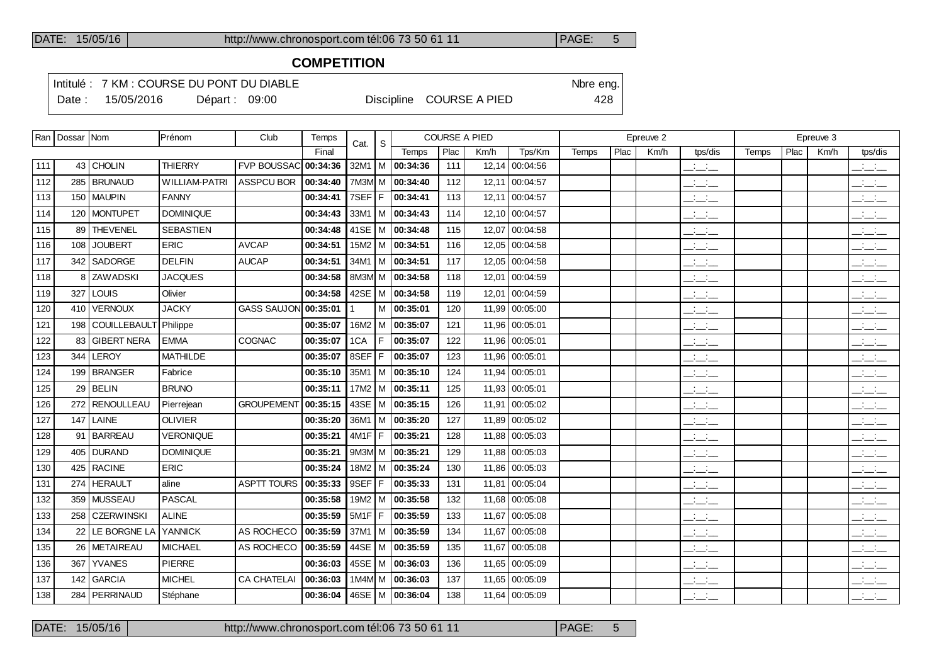### **COMPETITION**

Intitulé : 7 KM : COURSE DU PONT DU DIABLE Note that the state of the SN of the eng. Date : 15/05/2016 Départ : 09:00 Discipline COURSE A PIED 428

|     | Ran   Dossar   Nom |                           | Prénom               | Club                 | Temps    | Cat.   | S   |                     |      | <b>COURSE A PIED</b> |                |       |      | Epreuve 2 |                                                       |       |      | Epreuve 3 |                                                   |
|-----|--------------------|---------------------------|----------------------|----------------------|----------|--------|-----|---------------------|------|----------------------|----------------|-------|------|-----------|-------------------------------------------------------|-------|------|-----------|---------------------------------------------------|
|     |                    |                           |                      |                      | Final    |        |     | Temps               | Plac | Km/h                 | Tps/Km         | Temps | Plac | Km/h      | tps/dis                                               | Temps | Plac | Km/h      | tps/dis                                           |
| 111 |                    | 43 CHOLIN                 | <b>THIERRY</b>       | FVP BOUSSAC 00:34:36 |          |        |     | 32M1   M   00:34:36 | 111  |                      | 12,14 00:04:56 |       |      |           | $\overline{\phantom{a}}$ and $\overline{\phantom{a}}$ |       |      |           | $\frac{1}{2}$ and $\frac{1}{2}$                   |
| 112 |                    | 285   BRUNAUD             | <b>WILLIAM-PATRI</b> | <b>ASSPCU BOR</b>    | 00:34:40 | 7M3M M |     | 00:34:40            | 112  | 12,11                | 00:04:57       |       |      |           | $\mathcal{L} = \mathcal{L}$                           |       |      |           | $\overline{\phantom{a}}$                          |
| 113 |                    | 150   MAUPIN              | <b>FANNY</b>         |                      | 00:34:41 | 7SEF F |     | 00:34:41            | 113  |                      | 12,11 00:04:57 |       |      |           | $ -$                                                  |       |      |           | $\overline{\phantom{a}}$                          |
| 114 |                    | 120   MONTUPET            | <b>DOMINIQUE</b>     |                      | 00:34:43 | 33M1   | l M | 00:34:43            | 114  | 12,10                | 00:04:57       |       |      |           | $\overline{\phantom{a}}$                              |       |      |           | للأسائل                                           |
| 115 |                    | 89 THEVENEL               | <b>SEBASTIEN</b>     |                      | 00:34:48 |        |     | 41SE   M   00:34:48 | 115  |                      | 12,07 00:04:58 |       |      |           | $\overline{\phantom{a}}$                              |       |      |           | $\mathbb{R}$ and $\mathbb{R}$                     |
| 116 |                    | 108 JOUBERT               | <b>ERIC</b>          | <b>AVCAP</b>         | 00:34:51 | 15M2   | l M | 00:34:51            | 116  | 12,05                | 00:04:58       |       |      |           | $  -$                                                 |       |      |           | $  -$                                             |
| 117 |                    | 342 SADORGE               | <b>DELFIN</b>        | <b>AUCAP</b>         | 00:34:51 |        |     | 34M1   M   00:34:51 | 117  |                      | 12,05 00:04:58 |       |      |           | $  -$                                                 |       |      |           | $\overline{\phantom{a}}$ $\overline{\phantom{a}}$ |
| 118 |                    | 8 ZAW ADSKI               | <b>JACQUES</b>       |                      | 00:34:58 | 8M3M M |     | 00:34:58            | 118  | 12,01                | 00:04:59       |       |      |           | $ -$                                                  |       |      |           | $\frac{1}{2}$ and $\frac{1}{2}$                   |
| 119 |                    | $327$ LOUIS               | Olivier              |                      | 00:34:58 |        |     | 42SE   M   00:34:58 | 119  | 12,01                | 00:04:59       |       |      |           | <b>Contract Contract</b><br>$  -$                     |       |      |           | $\frac{1}{2}$                                     |
| 120 |                    | 410 VERNOUX               | <b>JACKY</b>         | <b>GASS SAUJON</b>   | 00:35:01 |        | M   | 00:35:01            | 120  | 11.99                | 00:05:00       |       |      |           | $\overline{\phantom{a}}$                              |       |      |           | $\overline{\phantom{a}}$                          |
| 121 |                    | 198 COUILLEBAULT Philippe |                      |                      | 00:35:07 | 16M2   |     | M 100:35:07         | 121  |                      | 11,96 00:05:01 |       |      |           | <b>Contract Contract</b><br>$  -$                     |       |      |           | بالأسائب                                          |
| 122 | 83                 | <b>GIBERT NERA</b>        | <b>EMMA</b>          | COGNAC               | 00:35:07 | 1CA    | F   | 00:35:07            | 122  | 11,96                | 00:05:01       |       |      |           | $  -$                                                 |       |      |           | $\overline{\phantom{a}}$                          |
| 123 |                    | 344 LEROY                 | <b>MATHILDE</b>      |                      | 00:35:07 | 8SEF   | F   | 00:35:07            | 123  |                      | 11,96 00:05:01 |       |      |           | $\overline{\phantom{a}}$                              |       |      |           | $\frac{1}{2}$ and $\frac{1}{2}$                   |
| 124 |                    | 199 BRANGER               | Fabrice              |                      | 00:35:10 | 35M1   | l M | 00:35:10            | 124  | 11,94                | 00:05:01       |       |      |           | $  -$                                                 |       |      |           | للأسائل                                           |
| 125 |                    | $29$ BELIN                | <b>BRUNO</b>         |                      | 00:35:11 | 17M2   |     | M 00:35:11          | 125  | 11,93                | 00:05:01       |       |      |           | $\frac{1}{2}$ and $\frac{1}{2}$                       |       |      |           | $\overline{\phantom{a}}$                          |
| 126 |                    | 272 RENOULLEAU            | Pierrejean           | <b>GROUPEMENT</b>    | 00:35:15 | 43SE   | lм  | 00:35:15            | 126  | 11,91                | 00:05:02       |       |      |           | $ -$                                                  |       |      |           | للمناسب                                           |
| 127 |                    | $147$ LAINE               | <b>OLIVIER</b>       |                      | 00:35:20 |        |     | 36M1   M   00:35:20 | 127  | 11.89                | 00:05:02       |       |      |           | $  -$                                                 |       |      |           | $\overline{\phantom{a}}$ $\overline{\phantom{a}}$ |
| 128 |                    | 91 BARREAU                | <b>VERONIQUE</b>     |                      | 00:35:21 | 4M1F   | F   | 00:35:21            | 128  | 11,88                | 00:05:03       |       |      |           | $\frac{1}{2}$ and $\frac{1}{2}$                       |       |      |           | $\overline{\phantom{a}}$                          |
| 129 |                    | 405 DURAND                | <b>DOMINIQUE</b>     |                      | 00:35:21 |        |     | 9M3M M 00:35:21     | 129  |                      | 11.88 00:05:03 |       |      |           | $\frac{1}{2}$ and $\frac{1}{2}$                       |       |      |           | $\frac{1}{2}$ and $\frac{1}{2}$                   |
| 130 |                    | 425   RACINE              | <b>ERIC</b>          |                      | 00:35:24 | 18M2   | M   | 00:35:24            | 130  | 11,86                | 00:05:03       |       |      |           | $ -$                                                  |       |      |           | $\frac{1}{2}$ and $\frac{1}{2}$                   |
| 131 |                    | 274 HERAULT               | aline                | <b>ASPTT TOURS</b>   | 00:35:33 | 9SEF   | F   | 00:35:33            | 131  |                      | 11,81 00:05:04 |       |      |           | $\sim 10^{-10}$ m $^{-1}$<br>$  -$                    |       |      |           | <b>Contractor</b><br>---                          |
| 132 |                    | 359 MUSSEAU               | <b>PASCAL</b>        |                      | 00:35:58 | 19M2   | l M | 00:35:58            | 132  | 11,68                | 00:05:08       |       |      |           | $\frac{1}{2}$ and $\frac{1}{2}$                       |       |      |           | $\overline{\phantom{a}}$                          |
| 133 |                    | 258   CZERWINSKI          | <b>ALINE</b>         |                      | 00:35:59 | 5M1F   | l F | 00:35:59            | 133  |                      | 11,67 00:05:08 |       |      |           | $\frac{1}{2}$ and $\frac{1}{2}$                       |       |      |           | $\frac{1}{2}$ $\frac{1}{2}$ $\frac{1}{2}$         |
| 134 |                    | 22 LE BORGNE LA           | <b>YANNICK</b>       | AS ROCHECO           | 00:35:59 | 37M1   | l M | 00:35:59            | 134  | 11.67                | 00:05:08       |       |      |           | $\overline{\phantom{a}}$                              |       |      |           | بالساب                                            |
| 135 |                    | 26 METAIREAU              | <b>MICHAEL</b>       | AS ROCHECO           | 00:35:59 | 44SE   | l M | 00:35:59            | 135  | 11,67                | 00:05:08       |       |      |           | $\frac{1}{2}$ and $\frac{1}{2}$                       |       |      |           | بالبياني                                          |
| 136 | 367                | <b>YVANES</b>             | <b>PIERRE</b>        |                      | 00:36:03 | 45SE   | l M | 00:36:03            | 136  | 11,65                | 00:05:09       |       |      |           | $ -$                                                  |       |      |           | بانباني                                           |
| 137 |                    | 142 GARCIA                | <b>MICHEL</b>        | <b>CA CHATELAI</b>   | 00:36:03 |        |     | 1M4M M 00:36:03     | 137  |                      | 11,65 00:05:09 |       |      |           | $\frac{1}{2}$ and $\frac{1}{2}$                       |       |      |           | <b>Contractor</b><br>$  -$                        |
| 138 |                    | 284   PERRINAUD           | Stéphane             |                      | 00:36:04 |        |     | 46SE   M   00:36:04 | 138  |                      | 11,64 00:05:09 |       |      |           | $\mathbb{Z}$ and $\mathbb{Z}$                         |       |      |           | $\overline{\phantom{a}}$                          |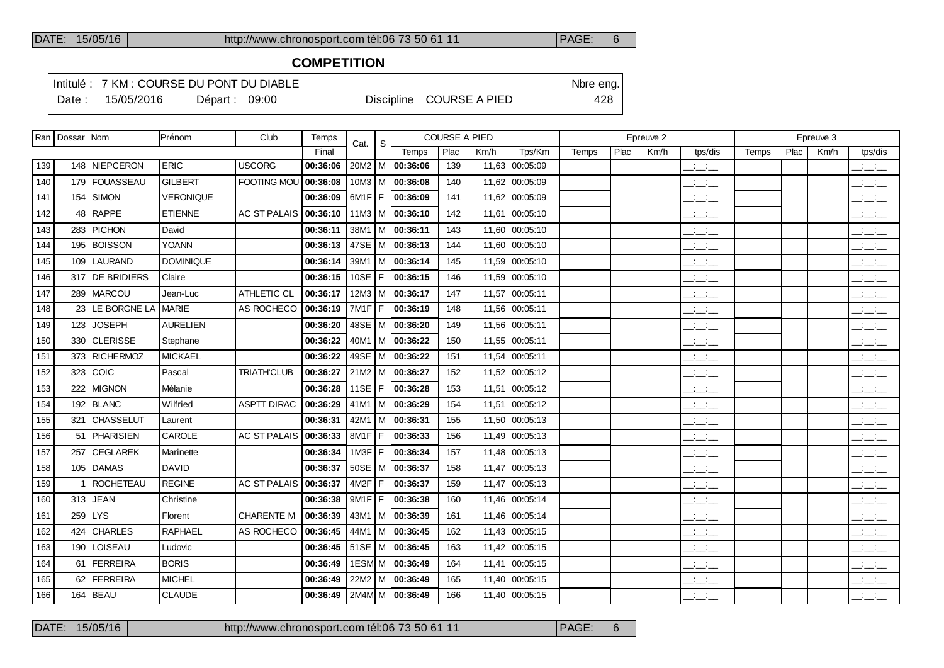## **COMPETITION**

Intitulé : 7 KM : COURSE DU PONT DU DIABLE Note that the state of the SN of the eng. Date : 15/05/2016 Départ : 09:00 Discipline COURSE A PIED 428

|     | Ran   Dossar   Nom |                  | Prénom           | Club                | Temps                          | Cat.              | S   |                            |      | <b>COURSE A PIED</b> |                |       |      | Epreuve 2 |                                                       |       |      | Epreuve 3 |                                                   |
|-----|--------------------|------------------|------------------|---------------------|--------------------------------|-------------------|-----|----------------------------|------|----------------------|----------------|-------|------|-----------|-------------------------------------------------------|-------|------|-----------|---------------------------------------------------|
|     |                    |                  |                  |                     | Final                          |                   |     | Temps                      | Plac | Km/h                 | Tps/Km         | Temps | Plac | Km/h      | tps/dis                                               | Temps | Plac | Km/h      | tps/dis                                           |
| 139 |                    | 148 NIEPCERON    | <b>ERIC</b>      | <b>USCORG</b>       | 00:36:06                       |                   |     | $20M2$   M   00:36:06      | 139  |                      | 11,63 00:05:09 |       |      |           | للمناصب                                               |       |      |           | $\frac{1}{2}$ and $\frac{1}{2}$                   |
| 140 |                    | 179 FOUASSEAU    | <b>GILBERT</b>   | <b>FOOTING MOU</b>  | 00:36:08                       |                   |     | $10M3$   M   00:36:08      | 140  |                      | 11.62 00:05:09 |       |      |           | $\frac{1}{2}$ and $\frac{1}{2}$                       |       |      |           | $\frac{1}{2}$                                     |
| 141 |                    | $154$ SIMON      | <b>VERONIQUE</b> |                     | 00:36:09                       | $6M1F$ F          |     | 00:36:09                   | 141  |                      | 11,62 00:05:09 |       |      |           | $\overline{\phantom{a}}$                              |       |      |           | بالبائد                                           |
| 142 | 48                 | <b>RAPPE</b>     | <b>ETIENNE</b>   | <b>AC ST PALAIS</b> | 00:36:10                       | $11M3$ M          |     | 00:36:10                   | 142  |                      | 11,61 00:05:10 |       |      |           | $\frac{1}{2}$ and $\frac{1}{2}$                       |       |      |           | $\frac{1}{2}$ and $\frac{1}{2}$                   |
| 143 |                    | 283 PICHON       | David            |                     | 00:36:11                       |                   |     | 38M1   M   00:36:11        | 143  |                      | 11,60 00:05:10 |       |      |           | $\overline{\phantom{a}}$ and $\overline{\phantom{a}}$ |       |      |           | $\overline{\phantom{a}}$                          |
| 144 |                    | 195   BOISSON    | <b>YOANN</b>     |                     | 00:36:13                       | 47SE   M          |     | 00:36:13                   | 144  |                      | 11,60 00:05:10 |       |      |           | $\frac{1}{2}$ and $\frac{1}{2}$                       |       |      |           | $\frac{1}{2}$ and $\frac{1}{2}$                   |
| 145 |                    | 109 LAURAND      | <b>DOMINIQUE</b> |                     | 00:36:14                       |                   |     | 39M1 M 00:36:14            | 145  |                      | 11.59 00:05:10 |       |      |           | $\overline{\phantom{a}}$ and $\overline{\phantom{a}}$ |       |      |           | $\overline{\phantom{a}}$                          |
| 146 |                    | 317 DE BRIDIERS  | Claire           |                     | 00:36:15                       | 10SE              | F   | 00:36:15                   | 146  |                      | 11,59 00:05:10 |       |      |           | $\overline{\phantom{a}}$                              |       |      |           | $\overline{\phantom{a}}$                          |
| 147 |                    | 289   MARCOU     | Jean-Luc         | ATHLETIC CL         | 00:36:17                       | 12M3              |     | M 00:36:17                 | 147  |                      | 11,57 00:05:11 |       |      |           | $\overline{\phantom{a}}$                              |       |      |           | $\overline{\phantom{a}}$                          |
| 148 | 23                 | LE BORGNE LA     | <b>MARIE</b>     | AS ROCHECO          | 00:36:19                       | 7M1F              | F   | 00:36:19                   | 148  |                      | 11,56 00:05:11 |       |      |           | $\mathbb{Z}$ and $\mathbb{Z}$                         |       |      |           | $\overline{\phantom{a}}$ $\overline{\phantom{a}}$ |
| 149 | 123                | <b>JOSEPH</b>    | <b>AURELIEN</b>  |                     | 00:36:20                       |                   |     | 48SE   M   00:36:20        | 149  |                      | 11,56 00:05:11 |       |      |           | $ -$                                                  |       |      |           | $\frac{1}{2}$                                     |
| 150 |                    | 330 CLERISSE     | Stephane         |                     | 00:36:22                       |                   |     | $40M1$ M $\sqrt{00:36:22}$ | 150  |                      | 11,55 00:05:11 |       |      |           | $  -$                                                 |       |      |           | $\overline{\phantom{a}}$ $\overline{\phantom{a}}$ |
| 151 |                    | 373 RICHERMOZ    | <b>MICKAEL</b>   |                     | 00:36:22                       |                   |     | 49SE   M   00:36:22        | 151  |                      | 11,54 00:05:11 |       |      |           | $\frac{1}{2}$ and $\frac{1}{2}$                       |       |      |           | $\frac{1}{2}$ $\frac{1}{2}$ $\frac{1}{2}$         |
| 152 |                    | $323$ COIC       | Pascal           | <b>TRIATH'CLUB</b>  | 00:36:27                       | 21M2              |     | M 00:36:27                 | 152  |                      | 11,52 00:05:12 |       |      |           | $\frac{1}{2}$ and $\frac{1}{2}$                       |       |      |           | $ -$                                              |
| 153 | 222                | <b>MIGNON</b>    | Mélanie          |                     | 00:36:28                       | <b>11SE</b>       | l F | 00:36:28                   | 153  |                      | 11,51 00:05:12 |       |      |           | $  -$                                                 |       |      |           | $\frac{1}{2}$ $\frac{1}{2}$ $\frac{1}{2}$         |
| 154 |                    | $192$ BLANC      | Wilfried         | <b>ASPTT DIRAC</b>  | 00:36:29                       |                   |     | 41M1   M   00:36:29        | 154  |                      | 11,51 00:05:12 |       |      |           | $\frac{1}{2}$ and $\frac{1}{2}$                       |       |      |           | $\overline{\phantom{a}}$                          |
| 155 |                    | 321 CHASSELUT    | Laurent          |                     | 00:36:31                       |                   |     | 42M1   M   00:36:31        | 155  |                      | 11.50 00:05:13 |       |      |           | <b>Service</b><br>— — —                               |       |      |           | <b>Contract</b><br>---                            |
| 156 |                    | 51 PHARISIEN     | CAROLE           | <b>AC ST PALAIS</b> | 00:36:33                       | 8M1F              | F   | 00:36:33                   | 156  |                      | 11,49 00:05:13 |       |      |           | للمنافث                                               |       |      |           | $\frac{1}{2}$ and $\frac{1}{2}$                   |
| 157 | 257                | <b>CEGLAREK</b>  | Marinette        |                     | 00:36:34                       | 1M3F              | F   | 00:36:34                   | 157  |                      | 11,48 00:05:13 |       |      |           | $\overline{\phantom{a}}$                              |       |      |           | للأستاني                                          |
| 158 |                    | 105 DAMAS        | <b>DAVID</b>     |                     | 00:36:37                       |                   |     | 50SE   M   00:36:37        | 158  |                      | 11,47 00:05:13 |       |      |           | $  -$                                                 |       |      |           | للأسائب                                           |
| 159 |                    | <b>ROCHETEAU</b> | <b>REGINE</b>    | <b>AC ST PALAIS</b> | 00:36:37                       | 4M <sub>2</sub> F | F   | 00:36:37                   | 159  |                      | 11,47 00:05:13 |       |      |           | $\frac{1}{2}$ and $\frac{1}{2}$                       |       |      |           | $\overline{\phantom{a}}$                          |
| 160 |                    | $313$ JEAN       | Christine        |                     | 00:36:38                       | $9M1F$ F          |     | 00:36:38                   | 160  |                      | 11.46 00:05:14 |       |      |           | $\frac{1}{2}$ and $\frac{1}{2}$                       |       |      |           | $  -$                                             |
| 161 |                    | $259$ LYS        | Florent          | <b>CHARENTE M</b>   | 00:36:39                       | $43M1$ M          |     | 00:36:39                   | 161  |                      | 11,46 00:05:14 |       |      |           | $ -$                                                  |       |      |           | $\frac{1}{2}$ and $\frac{1}{2}$                   |
| 162 |                    | 424 CHARLES      | <b>RAPHAEL</b>   | AS ROCHECO          | 00:36:45                       |                   |     | 44M1   M   00:36:45        | 162  |                      | 11,43 00:05:15 |       |      |           | $\overline{\phantom{a}}$                              |       |      |           | $\mathbb{R}$ and $\mathbb{R}$                     |
| 163 |                    | 190 LOISEAU      | Ludovic          |                     | 00:36:45                       | $51SE$ M          |     | 00:36:45                   | 163  | 11,42                | 00:05:15       |       |      |           | $\mathbb{Z}$ and $\mathbb{Z}$                         |       |      |           | $\overline{\phantom{a}}$                          |
| 164 |                    | 61   FERREIRA    | <b>BORIS</b>     |                     | 00:36:49                       |                   |     | 1ESM M 00:36:49            | 164  |                      | 11,41 00:05:15 |       |      |           | $\frac{1}{2}$ and $\frac{1}{2}$                       |       |      |           | $ -$                                              |
| 165 |                    | 62   FERREIRA    | <b>MICHEL</b>    |                     | 00:36:49                       | 22M2              |     | $ M $ 00:36:49             | 165  | 11,40                | 00:05:15       |       |      |           | $\overline{\phantom{a}}$                              |       |      |           | $\frac{1}{2}$ and $\frac{1}{2}$                   |
| 166 |                    | $164$ BEAU       | <b>CLAUDE</b>    |                     | 00:36:49   2M4M   M   00:36:49 |                   |     |                            | 166  |                      | 11,40 00:05:15 |       |      |           | $\frac{1}{2}$ and $\frac{1}{2}$                       |       |      |           | $  -$                                             |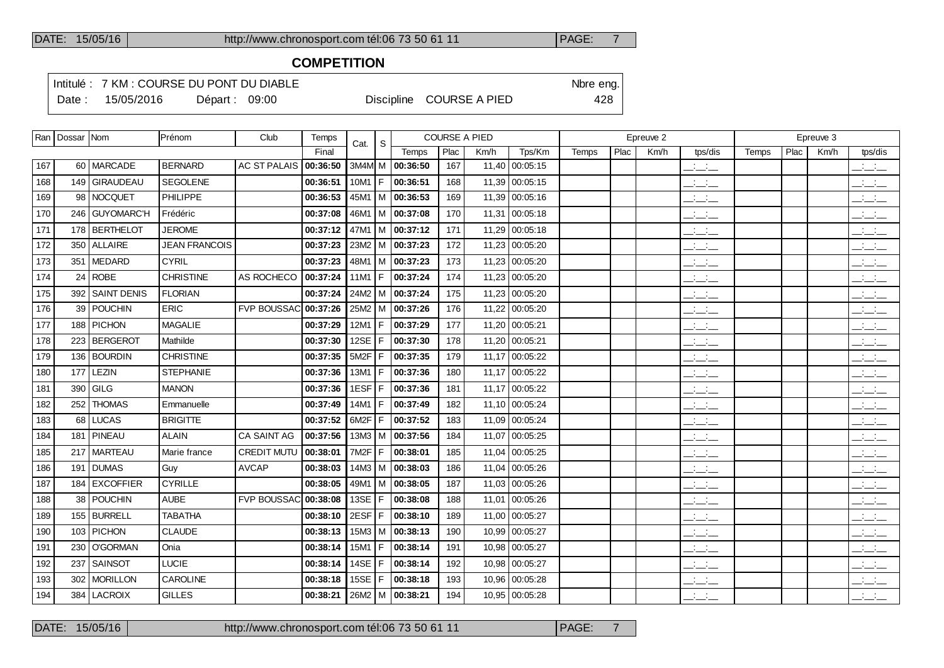#### **COMPETITION**

Intitulé : 7 KM : COURSE DU PONT DU DIABLE Note that the state of the SN of the eng.

Date : 15/05/2016 Départ : 09:00 Discipline COURSE A PIED 428

|     | Ran   Dossar   Nom |                    | Prénom               | Club               | Temps    | Cat.              | -S  |                       | <b>COURSE A PIED</b> |       |                |       |      | Epreuve 2 |                                           |       |      | Epreuve 3 |                                                     |
|-----|--------------------|--------------------|----------------------|--------------------|----------|-------------------|-----|-----------------------|----------------------|-------|----------------|-------|------|-----------|-------------------------------------------|-------|------|-----------|-----------------------------------------------------|
|     |                    |                    |                      |                    | Final    |                   |     | Temps                 | Plac                 | Km/h  | Tps/Km         | Temps | Plac | Km/h      | tps/dis                                   | Temps | Plac | Km/h      | tps/dis                                             |
| 167 |                    | 60 MARCADE         | <b>BERNARD</b>       | AC ST PALAIS       | 00:36:50 |                   |     | 3M4M M 00:36:50       | 167                  |       | 11,40 00:05:15 |       |      |           | $\frac{1}{2}$ and $\frac{1}{2}$           |       |      |           | $\frac{1}{2}$ and $\frac{1}{2}$                     |
| 168 | 149                | <b>GIRAUDEAU</b>   | <b>SEGOLENE</b>      |                    | 00:36:51 | 10M1              | F   | 00:36:51              | 168                  | 11,39 | 00:05:15       |       |      |           | $\frac{1}{2}$                             |       |      |           | $\frac{1}{2}$ and $\frac{1}{2}$                     |
| 169 | 98                 | NOCQUET            | PHILIPPE             |                    | 00:36:53 |                   |     | $45M1$ M $ 00:36:53$  | 169                  |       | 11,39 00:05:16 |       |      |           | $\overline{\phantom{a}}$                  |       |      |           | $\frac{1}{2}$                                       |
| 170 | 246                | <b>GUYOMARC'H</b>  | Frédéric             |                    | 00:37:08 | 46M1              |     | M 00:37:08            | 170                  | 11,31 | 00:05:18       |       |      |           | $\overline{\phantom{a}}$                  |       |      |           | $\overline{\phantom{a}}$                            |
| 171 | 178                | BERTHELOT          | <b>JEROME</b>        |                    | 00:37:12 |                   |     | 47M1   M   00:37:12   | 171                  |       | 11,29 00:05:18 |       |      |           | سأستأثث                                   |       |      |           | $\overline{a}$                                      |
| 172 | 350                | <b>ALLAIRE</b>     | <b>JEAN FRANCOIS</b> |                    | 00:37:23 | 23M2              | l M | 00:37:23              | 172                  | 11,23 | 00:05:20       |       |      |           | $ -$                                      |       |      |           | سأنسأ                                               |
| 173 | 351                | <b>IMEDARD</b>     | <b>CYRIL</b>         |                    | 00:37:23 |                   |     | 48M1   M   00:37:23   | 173                  |       | 11,23 00:05:20 |       |      |           | $\overline{\phantom{a}}$                  |       |      |           | $\frac{1}{2}$                                       |
| 174 | 24                 | ROBE               | <b>CHRISTINE</b>     | AS ROCHECO         | 00:37:24 | 11M1              | F   | 00:37:24              | 174                  | 11,23 | 00:05:20       |       |      |           | $ -$                                      |       |      |           | $\overline{\phantom{a}}$                            |
| 175 | 392                | <b>SAINT DENIS</b> | <b>FLORIAN</b>       |                    | 00:37:24 |                   |     | 24M2   M   00:37:24   | 175                  |       | 11,23 00:05:20 |       |      |           | $\overline{\phantom{a}}$                  |       |      |           | $\frac{1}{2}$                                       |
| 176 | 39                 | <b>POUCHIN</b>     | ERIC                 | <b>FVP BOUSSAC</b> | 00:37:26 | 25M2              | l M | 00:37:26              | 176                  | 11,22 | 00:05:20       |       |      |           | $ -$                                      |       |      |           | $\overline{\phantom{a}}$                            |
| 177 | 188                | <b>PICHON</b>      | <b>MAGALIE</b>       |                    | 00:37:29 | 12M1              | F   | 00:37:29              | 177                  |       | 11,20 00:05:21 |       |      |           | سأستأثث                                   |       |      |           | $\frac{1}{2}$ and $\frac{1}{2}$                     |
| 178 | 223                | <b>BERGEROT</b>    | Mathilde             |                    | 00:37:30 | 12SE              | F   | 00:37:30              | 178                  |       | 11,20 00:05:21 |       |      |           | $\overline{\phantom{a}}$                  |       |      |           | $\frac{1}{2}$                                       |
| 179 | 136                | <b>BOURDIN</b>     | <b>CHRISTINE</b>     |                    | 00:37:35 | 5M <sub>2</sub> F | F   | 00:37:35              | 179                  |       | 11,17 00:05:22 |       |      |           | $\overline{\phantom{a}}$                  |       |      |           | $\frac{1}{2}$                                       |
| 180 | 177                | LEZIN              | <b>STEPHANIE</b>     |                    | 00:37:36 | 13M1              | F   | 00:37:36              | 180                  |       | 11,17 00:05:22 |       |      |           | $\overline{\phantom{a}}$                  |       |      |           | $\mathbf{a} = \mathbf{a} \cdot \mathbf{a}$<br>$  -$ |
| 181 | 390                | GILG               | <b>MANON</b>         |                    | 00:37:36 | 1ESF              | F   | 00:37:36              | 181                  |       | 11,17 00:05:22 |       |      |           | للمناصب                                   |       |      |           | $\frac{1}{2}$                                       |
| 182 | 252                | <b>THOMAS</b>      | Emmanuelle           |                    | 00:37:49 | 14M1   F          |     | 00:37:49              | 182                  |       | 11,10 00:05:24 |       |      |           | $\frac{1}{2}$ and $\frac{1}{2}$           |       |      |           | $\frac{1}{2}$ and $\frac{1}{2}$                     |
| 183 | 68                 | LUCAS              | <b>BRIGITTE</b>      |                    | 00:37:52 | 6M2F              | F   | 00:37:52              | 183                  |       | 11,09 00:05:24 |       |      |           | $\frac{1}{2}$ and $\frac{1}{2}$           |       |      |           | $\frac{1}{2}$                                       |
| 184 | 181                | <b>PINEAU</b>      | <b>ALAIN</b>         | <b>CA SAINT AG</b> | 00:37:56 |                   |     | 13M3   M   00:37:56   | 184                  | 11.07 | 00:05:25       |       |      |           | $\frac{1}{2}$ and $\frac{1}{2}$           |       |      |           | $\frac{1}{2}$ and $\frac{1}{2}$                     |
| 185 |                    | 217   MARTEAU      | Marie france         | <b>CREDIT MUTU</b> | 00:38:01 | 7M2F              | F   | 00:38:01              | 185                  |       | 11,04 00:05:25 |       |      |           | $\overline{\phantom{a}}$                  |       |      |           | $\frac{1}{2}$                                       |
| 186 | 191                | DUMAS              | Guy                  | <b>AVCAP</b>       | 00:38:03 |                   |     | $14M3$   M   00:38:03 | 186                  | 11.04 | 00:05:26       |       |      |           | $ -$                                      |       |      |           | للأسائد                                             |
| 187 | 184                | <b>EXCOFFIER</b>   | <b>CYRILLE</b>       |                    | 00:38:05 |                   |     | 49M1   M   00:38:05   | 187                  |       | 11,03 00:05:26 |       |      |           | سأساب                                     |       |      |           | $\frac{1}{2}$                                       |
| 188 | 38                 | <b>POUCHIN</b>     | <b>AUBE</b>          | <b>FVP BOUSSAC</b> | 00:38:08 | 13SE              | F   | 00:38:08              | 188                  | 11,01 | 00:05:26       |       |      |           | $ -$                                      |       |      |           | $\mathcal{L} = \mathcal{L}$                         |
| 189 | 155                | BURRELL            | <b>TABATHA</b>       |                    | 00:38:10 | 2ESF              | F   | 00:38:10              | 189                  | 11,00 | 00:05:27       |       |      |           | $ -$                                      |       |      |           | $\frac{1}{2}$ and $\frac{1}{2}$                     |
| 190 | 103                | <b>PICHON</b>      | <b>CLAUDE</b>        |                    | 00:38:13 |                   |     | $15M3$   M   00:38:13 | 190                  | 10,99 | 00:05:27       |       |      |           | $\frac{1}{2}$ $\frac{1}{2}$ $\frac{1}{2}$ |       |      |           | للأسائد                                             |
| 191 | 230                | <b>O'GORMAN</b>    | Onia                 |                    | 00:38:14 | 15M1              | F   | 00:38:14              | 191                  | 10,98 | 00:05:27       |       |      |           | $\overline{\phantom{a}}$                  |       |      |           | $\overline{\phantom{a}}$                            |
| 192 | 237                | <b>SAINSOT</b>     | <b>LUCIE</b>         |                    | 00:38:14 | 14SE              | F   | 00:38:14              | 192                  | 10,98 | 00:05:27       |       |      |           | سأستأثث                                   |       |      |           | $\frac{1}{2}$                                       |
| 193 | 302                | <b>MORILLON</b>    | CAROLINE             |                    | 00:38:18 | 15SE              | F   | 00:38:18              | 193                  | 10,96 | 00:05:28       |       |      |           | للأساس                                    |       |      |           | للأساب                                              |
| 194 | 384                | LACROIX            | <b>GILLES</b>        |                    | 00:38:21 |                   |     | 26M2   M   00:38:21   | 194                  |       | 10,95 00:05:28 |       |      |           | سأسأب                                     |       |      |           | $ -$                                                |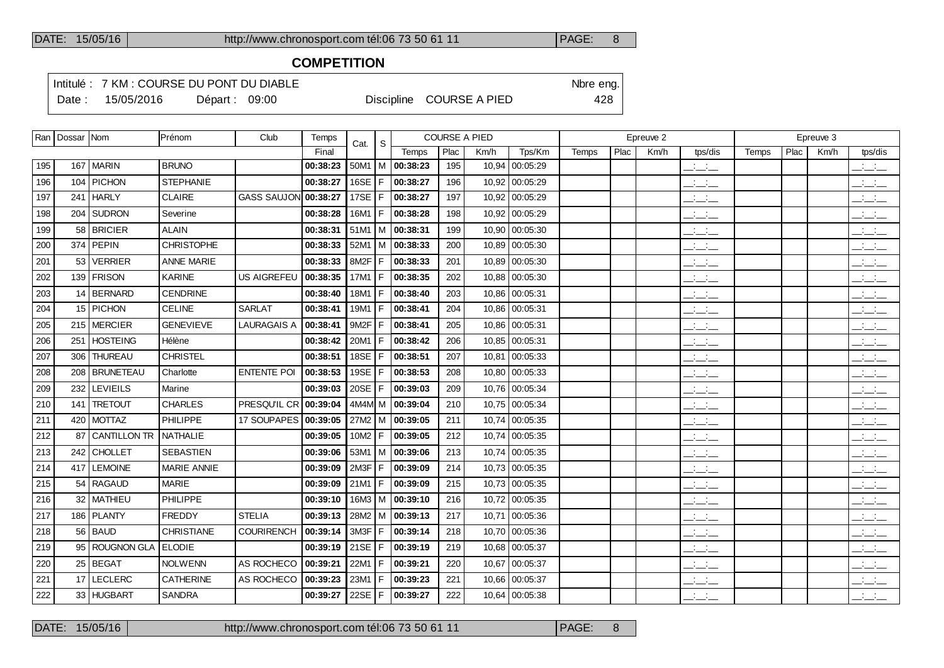### **COMPETITION**

Intitulé : 7 KM : COURSE DU PONT DU DIABLE Note that the state of the SN of the eng. Date : 15/05/2016 Départ : 09:00 Discipline COURSE A PIED 428

|     | Ran   Dossar   Nom |                     | Prénom             | Club                 | Temps             | Cat.       | l s |                       | <b>COURSE A PIED</b> |      |                |       |      | Epreuve 2 |                                 |       |      | Epreuve 3 |                               |
|-----|--------------------|---------------------|--------------------|----------------------|-------------------|------------|-----|-----------------------|----------------------|------|----------------|-------|------|-----------|---------------------------------|-------|------|-----------|-------------------------------|
|     |                    |                     |                    |                      | Final             |            |     | Temps                 | Plac                 | Km/h | Tps/Km         | Temps | Plac | Km/h      | tps/dis                         | Temps | Plac | Km/h      | tps/dis                       |
| 195 | 167                | MARIN               | <b>BRUNO</b>       |                      | 00:38:23          |            |     | 50M1   M   00:38:23   | 195                  |      | 10,94 00:05:29 |       |      |           | سأساب                           |       |      |           | سأست                          |
| 196 | 104                | PICHON              | <b>STEPHANIE</b>   |                      | 00:38:27          | 16SE $ F $ |     | 00:38:27              | 196                  |      | 10,92 00:05:29 |       |      |           | للمستحق                         |       |      |           | $\frac{1}{2}$                 |
| 197 | 241                | <b>HARLY</b>        | <b>CLAIRE</b>      | GASS SAUJON 00:38:27 |                   | 17SE $ F $ |     | 00:38:27              | 197                  |      | 10,92 00:05:29 |       |      |           | $\overline{\phantom{a}}$        |       |      |           | $\overline{\phantom{a}}$      |
| 198 |                    | 204 SUDRON          | Severine           |                      | 00:38:28          | 16M1   F   |     | 00:38:28              | 198                  |      | 10,92 00:05:29 |       |      |           | $\mathbb{Z}$ and $\mathbb{Z}$   |       |      |           | للأسائد                       |
| 199 | 58                 | <b>BRICIER</b>      | <b>ALAIN</b>       |                      | 00:38:31          |            |     | $51M1$   M   00:38:31 | 199                  |      | 10,90 00:05:30 |       |      |           | $\frac{1}{2}$ and $\frac{1}{2}$ |       |      |           | بالمستح                       |
| 200 | 374                | <b>PEPIN</b>        | <b>CHRISTOPHE</b>  |                      | 00:38:33          |            |     | $52M1$   M   00:38:33 | 200                  |      | 10.89 00:05:30 |       |      |           | $\overline{\phantom{a}}$        |       |      |           | $\frac{1}{2}$                 |
| 201 | 53                 | VERRIER             | <b>ANNE MARIE</b>  |                      | 00:38:33          | 8M2F F     |     | 00:38:33              | 201                  |      | 10,89 00:05:30 |       |      |           | $\overline{\phantom{a}}$        |       |      |           | $\overline{\phantom{a}}$      |
| 202 |                    | 139   FRISON        | <b>KARINE</b>      | <b>US AIGREFEU</b>   | 00:38:35          | 17M1   F   |     | 00:38:35              | 202                  |      | 10,88 00:05:30 |       |      |           | $\frac{1}{2}$ and $\frac{1}{2}$ |       |      |           | $\mathbb{R}$ and $\mathbb{R}$ |
| 203 |                    | 14 BERNARD          | <b>CENDRINE</b>    |                      | 00:38:40          | 18M1   F   |     | 00:38:40              | 203                  |      | 10.86 00:05:31 |       |      |           | $\overline{\phantom{a}}$        |       |      |           | $\overline{\phantom{a}}$      |
| 204 |                    | 15 PICHON           | <b>CELINE</b>      | <b>SARLAT</b>        | 00:38:41          | $19M1$ F   |     | 00:38:41              | 204                  |      | 10,86 00:05:31 |       |      |           | $\frac{1}{2}$ and $\frac{1}{2}$ |       |      |           | بالمستح                       |
| 205 |                    | 215 MERCIER         | <b>GENEVIEVE</b>   | <b>LAURAGAIS A</b>   | 00:38:41          | $9M2F$ F   |     | 00:38:41              | 205                  |      | 10.86 00:05:31 |       |      |           | $\frac{1}{2}$ and $\frac{1}{2}$ |       |      |           | للأسائل                       |
| 206 | 251                | <b>HOSTEING</b>     | Hélène             |                      | 00:38:42          | $20M1$ F   |     | 00:38:42              | 206                  |      | 10.85 00:05:31 |       |      |           | $ -$                            |       |      |           | للأسائل                       |
| 207 | 306                | <b>THUREAU</b>      | <b>CHRISTEL</b>    |                      | 00:38:51          | 18SE $ F $ |     | 00:38:51              | 207                  |      | 10,81 00:05:33 |       |      |           | $\frac{1}{2}$ and $\frac{1}{2}$ |       |      |           | للأسائل                       |
| 208 | 208                | <b>BRUNETEAU</b>    | Charlotte          | <b>ENTENTE POI</b>   | 00:38:53          | 19SE $ F $ |     | 00:38:53              | 208                  |      | 10,80 00:05:33 |       |      |           | $\frac{1}{2}$ and $\frac{1}{2}$ |       |      |           | $\overline{\phantom{a}}$      |
| 209 | 232                | <b>LEVIEILS</b>     | Marine             |                      | 00:39:03          | 20SE $ F $ |     | 00:39:03              | 209                  |      | 10,76 00:05:34 |       |      |           | $\frac{1}{2}$ and $\frac{1}{2}$ |       |      |           | للأستاني                      |
| 210 | 141                | <b>TRETOUT</b>      | <b>CHARLES</b>     | PRESQU'IL CR         | 00:39:04          |            |     | 4M4M M 00:39:04       | 210                  |      | 10,75 00:05:34 |       |      |           | $\frac{1}{2}$ and $\frac{1}{2}$ |       |      |           | $\mathbb{R}$ and $\mathbb{R}$ |
| 211 | 420                | <b>MOTTAZ</b>       | PHILIPPE           | 17 SOUPAPES 00:39:05 |                   |            |     | 27M2   M   00:39:05   | 211                  |      | 10,74 00:05:35 |       |      |           | $ -$                            |       |      |           | $\frac{1}{2}$                 |
| 212 | 87                 | <b>CANTILLON TR</b> | <b>NATHALIE</b>    |                      | 00:39:05          | $10M2$ F   |     | 00:39:05              | 212                  |      | 10,74 00:05:35 |       |      |           | $\overline{\phantom{a}}$        |       |      |           | $\overline{\phantom{a}}$      |
| 213 | 242                | <b>CHOLLET</b>      | <b>SEBASTIEN</b>   |                      | 00:39:06          |            |     | 53M1   M   00:39:06   | 213                  |      | 10,74 00:05:35 |       |      |           | للأسائل                         |       |      |           | للأسائد                       |
| 214 | 417                | <b>LEMOINE</b>      | <b>MARIE ANNIE</b> |                      | 00:39:09          |            |     | 2M3F   F   00:39:09   | 214                  |      | 10,73 00:05:35 |       |      |           | $\overline{\phantom{a}}$        |       |      |           | للأسائل                       |
| 215 | 54                 | RAGAUD              | <b>MARIE</b>       |                      | 00:39:09          | 21M1   F   |     | 00:39:09              | 215                  |      | 10,73 00:05:35 |       |      |           | $\frac{1}{2}$ and $\frac{1}{2}$ |       |      |           | للأسائل                       |
| 216 |                    | 32   MATHIEU        | PHILIPPE           |                      | 00:39:10          |            |     | 16M3   M   00:39:10   | 216                  |      | 10,72 00:05:35 |       |      |           | $\frac{1}{2}$ and $\frac{1}{2}$ |       |      |           | للأسائد                       |
| 217 |                    | 186 PLANTY          | <b>FREDDY</b>      | <b>STELIA</b>        | 00:39:13          |            |     | 28M2   M   00:39:13   | 217                  |      | 10,71 00:05:36 |       |      |           | $ -$                            |       |      |           | للمناصب                       |
| 218 |                    | 56 BAUD             | CHRISTIANE         | <b>COURIRENCH</b>    | 00:39:14          | 3M3F F     |     | 00:39:14              | 218                  |      | 10,70 00:05:36 |       |      |           | $  -$                           |       |      |           | للأسائل                       |
| 219 | 95                 | ROUGNON GLA         | <b>ELODIE</b>      |                      | 00:39:19          | $21SE$ F   |     | 00:39:19              | 219                  |      | 10,68 00:05:37 |       |      |           | $\frac{1}{2}$ and $\frac{1}{2}$ |       |      |           | $\mathbb{R}$ and $\mathbb{R}$ |
| 220 |                    | 25 BEGAT            | <b>NOLWENN</b>     | AS ROCHECO           | 00:39:21          | 22M1 F     |     | 00:39:21              | 220                  |      | 10,67 00:05:37 |       |      |           | $\mathbb{R}$ and $\mathbb{R}$   |       |      |           | للأسائل                       |
| 221 | 17                 | LECLERC             | CATHERINE          | AS ROCHECO           | 00:39:23          | 23M1   F   |     | 00:39:23              | 221                  |      | 10,66 00:05:37 |       |      |           | $\overline{\phantom{a}}$        |       |      |           | $\mathbb{R}$ and $\mathbb{R}$ |
| 222 |                    | 33 HUGBART          | <b>SANDRA</b>      |                      | 00:39:27 22SE   F |            |     | 00:39:27              | 222                  |      | 10,64 00:05:38 |       |      |           | <b>Service</b><br>$  -$         |       |      |           | $\overline{\phantom{a}}$      |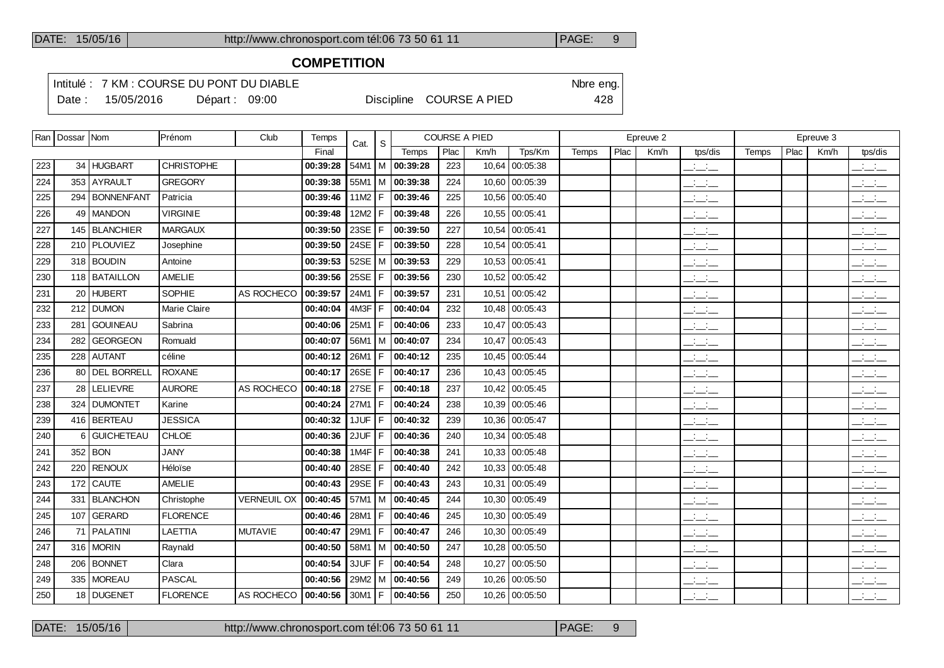### **COMPETITION**

Intitulé : 7 KM : COURSE DU PONT DU DIABLE Note that the state of the SN of the eng. Date : 15/05/2016 Départ : 09:00 Discipline COURSE A PIED 428

|     | Ran   Dossar   Nom |                 | Prénom            | Club                             | Temps    | Cat.     | S  |                     |      | <b>COURSE A PIED</b> |                |       |      | Epreuve 2 |                                 |       |      | Epreuve 3 |                                                                    |
|-----|--------------------|-----------------|-------------------|----------------------------------|----------|----------|----|---------------------|------|----------------------|----------------|-------|------|-----------|---------------------------------|-------|------|-----------|--------------------------------------------------------------------|
|     |                    |                 |                   |                                  | Final    |          |    | Temps               | Plac | Km/h                 | Tps/Km         | Temps | Plac | Km/h      | tps/dis                         | Temps | Plac | Km/h      | tps/dis                                                            |
| 223 |                    | 34 HUGBART      | <b>CHRISTOPHE</b> |                                  | 00:39:28 | 54M1     |    | $ M $ 00:39:28      | 223  |                      | 10,64 00:05:38 |       |      |           | $\frac{1}{2}$ and $\frac{1}{2}$ |       |      |           | للأسائد                                                            |
| 224 |                    | 353 AYRAULT     | <b>GREGORY</b>    |                                  | 00:39:38 | 55M1     |    | M 00:39:38          | 224  |                      | 10,60 00:05:39 |       |      |           | $ -$                            |       |      |           | $\overline{\phantom{a}}$                                           |
| 225 |                    | 294 BONNENFANT  | Patricia          |                                  | 00:39:46 | 11M2     | F. | 00:39:46            | 225  |                      | 10,56 00:05:40 |       |      |           | $\frac{1}{2}$ and $\frac{1}{2}$ |       |      |           | للأسائد                                                            |
| 226 |                    | 49   MANDON     | <b>VIRGINIE</b>   |                                  | 00:39:48 | 12M2     | F  | 00:39:48            | 226  |                      | 10,55 00:05:41 |       |      |           | $ -$                            |       |      |           | $\frac{1}{2}$                                                      |
| 227 |                    | 145   BLANCHIER | <b>MARGAUX</b>    |                                  | 00:39:50 | 23SE     | F  | 00:39:50            | 227  |                      | 10,54 00:05:41 |       |      |           | للأسائل                         |       |      |           | $\frac{1}{2}$                                                      |
| 228 |                    | 210 PLOUVIEZ    | Josephine         |                                  | 00:39:50 | 24SE     | F  | 00:39:50            | 228  |                      | 10,54 00:05:41 |       |      |           | $\frac{1}{2}$ and $\frac{1}{2}$ |       |      |           | $\mathbb{R}$ and $\mathbb{R}$                                      |
| 229 |                    | 318 BOUDIN      | Antoine           |                                  | 00:39:53 |          |    | 52SE   M   00:39:53 | 229  |                      | 10,53 00:05:41 |       |      |           | $ -$                            |       |      |           | $\frac{1}{2}$                                                      |
| 230 |                    | 118 BATAILLON   | AMELIE            |                                  | 00:39:56 | 25SE     |    | 00:39:56            | 230  |                      | 10,52 00:05:42 |       |      |           | $\frac{1}{2}$ and $\frac{1}{2}$ |       |      |           | $\overline{\phantom{a}}$                                           |
| 231 |                    | 20 HUBERT       | SOPHIE            | AS ROCHECO                       | 00:39:57 | 24M1     | F  | 00:39:57            | 231  |                      | 10,51 00:05:42 |       |      |           | $ -$                            |       |      |           | للأسائل                                                            |
| 232 |                    | 212 DUMON       | Marie Claire      |                                  | 00:40:04 | 4M3F     | F  | 00:40:04            | 232  |                      | 10,48 00:05:43 |       |      |           | $ -$                            |       |      |           | $\overline{\phantom{a}}$                                           |
| 233 |                    | 281 GOUINEAU    | Sabrina           |                                  | 00:40:06 | 25M1     | F  | 00:40:06            | 233  |                      | 10,47 00:05:43 |       |      |           | $\overline{\phantom{a}}$        |       |      |           | $\mathbb{R}$ and $\mathbb{R}$                                      |
| 234 | 282                | <b>GEORGEON</b> | Romuald           |                                  | 00:40:07 | 56M1     | M  | 00:40:07            | 234  | 10,47                | 00:05:43       |       |      |           | $\overline{\phantom{a}}$        |       |      |           | $\frac{1}{2}$                                                      |
| 235 |                    | 228 AUTANT      | céline            |                                  | 00:40:12 | 26M1     | F  | 00:40:12            | 235  |                      | 10,45 00:05:44 |       |      |           | سأنسأ                           |       |      |           | $\mathcal{A}^{\mathcal{A}}$ and $\mathcal{A}^{\mathcal{A}}$<br>--- |
| 236 |                    | 80 DEL BORRELL  | <b>ROXANE</b>     |                                  | 00:40:17 | 26SE     |    | 00:40:17            | 236  |                      | 10,43 00:05:45 |       |      |           | للأسائل                         |       |      |           | للأسائل                                                            |
| 237 |                    | 28 LELIEVRE     | <b>AURORE</b>     | AS ROCHECO                       | 00:40:18 | 27SE     | F  | 00:40:18            | 237  |                      | 10,42 00:05:45 |       |      |           | $\overline{\phantom{a}}$        |       |      |           | للأسائل                                                            |
| 238 |                    | 324 DUMONTET    | Karine            |                                  | 00:40:24 | 27M1     | F  | 00:40:24            | 238  |                      | 10,39 00:05:46 |       |      |           | $ -$                            |       |      |           | $\overline{\phantom{a}}$                                           |
| 239 |                    | 416 BERTEAU     | <b>JESSICA</b>    |                                  | 00:40:32 | 1JUF     | F  | 00:40:32            | 239  |                      | 10,36 00:05:47 |       |      |           | $\overline{\phantom{a}}$        |       |      |           | $\overline{\phantom{a}}$                                           |
| 240 |                    | 6 GUICHETEAU    | CHLOE             |                                  | 00:40:36 | 2JUF     | F  | 00:40:36            | 240  |                      | 10,34 00:05:48 |       |      |           | للأساد                          |       |      |           | $\overline{\phantom{a}}$                                           |
| 241 |                    | $352$ BON       | <b>JANY</b>       |                                  | 00:40:38 | 1MAF     | F  | 00:40:38            | 241  |                      | 10,33 00:05:48 |       |      |           | للأسائل                         |       |      |           | $\frac{1}{2}$                                                      |
| 242 |                    | 220 RENOUX      | Héloïse           |                                  | 00:40:40 | 28SE     | F  | 00:40:40            | 242  |                      | 10,33 00:05:48 |       |      |           | $\overline{\phantom{a}}$        |       |      |           | $\overline{\phantom{a}}$                                           |
| 243 |                    | 172 CAUTE       | AMELIE            |                                  | 00:40:43 | 29SE     | F  | 00:40:43            | 243  |                      | 10,31 00:05:49 |       |      |           | المنافسات                       |       |      |           | $\overline{\phantom{a}}$                                           |
| 244 |                    | 331   BLANCHON  | Christophe        | <b>VERNEUIL OX</b>               | 00:40:45 | $57M1$ M |    | 00:40:45            | 244  |                      | 10,30 00:05:49 |       |      |           | سأنسأ                           |       |      |           | $\overline{\phantom{a}}$                                           |
| 245 |                    | 107 GERARD      | <b>FLORENCE</b>   |                                  | 00:40:46 | 28M1     | F  | 00:40:46            | 245  |                      | 10,30 00:05:49 |       |      |           | المنافذ                         |       |      |           | $\frac{1}{2}$                                                      |
| 246 |                    | 71   PALATINI   | LAETTIA           | <b>MUTAVIE</b>                   | 00:40:47 | 29M1     | F  | 00:40:47            | 246  |                      | 10,30 00:05:49 |       |      |           | $\overline{\phantom{a}}$        |       |      |           | $\frac{1}{2}$ and $\frac{1}{2}$                                    |
| 247 |                    | 316 MORIN       | Raynald           |                                  | 00:40:50 | 58M1   M |    | 00:40:50            | 247  |                      | 10,28 00:05:50 |       |      |           | $\mathcal{L} = \mathcal{L}$     |       |      |           | $\frac{1}{2}$ $\frac{1}{2}$ $\frac{1}{2}$                          |
| 248 |                    | 206 BONNET      | Clara             |                                  | 00:40:54 | 3JUF     | F  | 00:40:54            | 248  |                      | 10,27 00:05:50 |       |      |           | $ -$                            |       |      |           | $\frac{1}{2}$ $\frac{1}{2}$ $\frac{1}{2}$                          |
| 249 |                    | 335   MOREAU    | PASCAL            |                                  | 00:40:56 | 29M2   M |    | 00:40:56            | 249  |                      | 10,26 00:05:50 |       |      |           | $ -$                            |       |      |           | $\frac{1}{2}$ $\frac{1}{2}$ $\frac{1}{2}$                          |
| 250 |                    | 18 DUGENET      | <b>FLORENCE</b>   | AS ROCHECO   00:40:56   30M1   F |          |          |    | 00:40:56            | 250  |                      | 10,26 00:05:50 |       |      |           | $\mathbb{R}$ and $\mathbb{R}$   |       |      |           | $\mathbb{R}$ and $\mathbb{R}$                                      |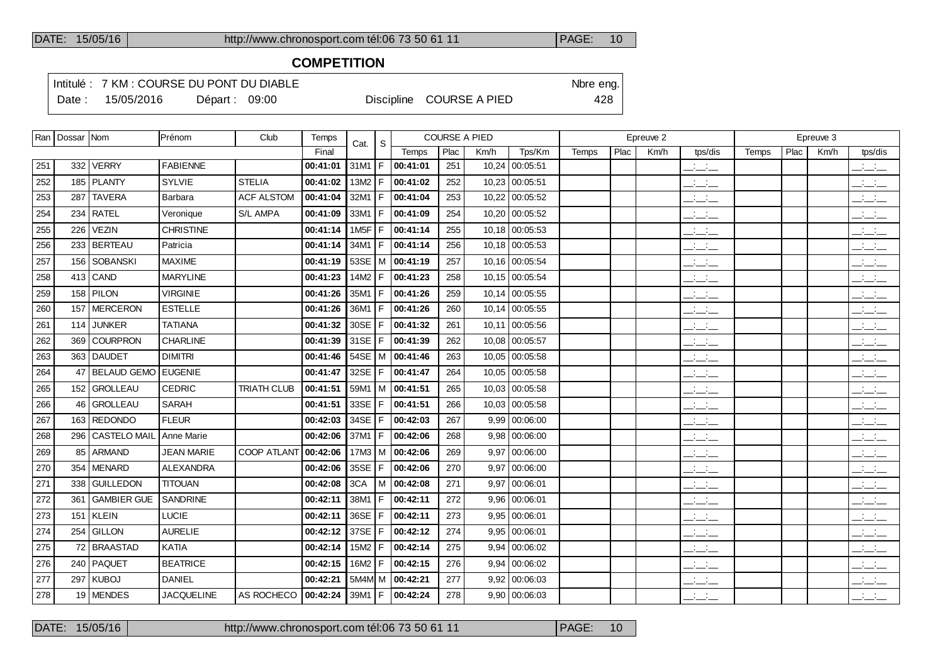### **COMPETITION**

Intitulé : 7 KM : COURSE DU PONT DU DIABLE Note that the state of the SN of the eng. Date : 15/05/2016 Départ : 09:00 Discipline COURSE A PIED 428

|     | Ran   Dossar   Nom |                    | Prénom            | Club               | Temps    | Cat.          | S   |                       |      | <b>COURSE A PIED</b> |                 |              |      | Epreuve 2 |                                 |       |      | Epreuve 3 |                                           |
|-----|--------------------|--------------------|-------------------|--------------------|----------|---------------|-----|-----------------------|------|----------------------|-----------------|--------------|------|-----------|---------------------------------|-------|------|-----------|-------------------------------------------|
|     |                    |                    |                   |                    | Final    |               |     | Temps                 | Plac | Km/h                 | Tps/Km          | <b>Temps</b> | Plac | Km/h      | tps/dis                         | Temps | Plac | Km/h      | tps/dis                                   |
| 251 |                    | 332   VERRY        | <b>FABIENNE</b>   |                    | 00:41:01 | $31M1$ F      |     | 00:41:01              | 251  | 10,24                | 00:05:51        |              |      |           | $\overline{\phantom{a}}$        |       |      |           | $\frac{1}{2}$ and $\frac{1}{2}$           |
| 252 |                    | 185 PLANTY         | <b>SYLVIE</b>     | <b>STELIA</b>      | 00:41:02 | $13M2$ F      |     | 00:41:02              | 252  | 10.23                | 00:05:51        |              |      |           | $\frac{1}{2}$ and $\frac{1}{2}$ |       |      |           | $\frac{1}{2}$ $\frac{1}{2}$ $\frac{1}{2}$ |
| 253 | 287                | <b>TAVERA</b>      | Barbara           | <b>ACF ALSTOM</b>  | 00:41:04 | $32M1$ F      |     | 00:41:04              | 253  |                      | 10,22 00:05:52  |              |      |           | $\mathbb{R}$ and $\mathbb{R}$   |       |      |           | بالأسائب                                  |
| 254 | 234                | <b>RATEL</b>       | Veronique         | S/L AMPA           | 00:41:09 | $33M1$   F    |     | 00:41:09              | 254  |                      | 10,20 00:05:52  |              |      |           | $ -$                            |       |      |           | $\mathbb{R}$ and $\mathbb{R}$             |
| 255 | 226                | VEZIN              | <b>CHRISTINE</b>  |                    | 00:41:14 | $1M5F$ F      |     | 00:41:14              | 255  |                      | 10.18 00:05:53  |              |      |           | $  -$                           |       |      |           | للأسائل                                   |
| 256 |                    | 233 BERTEAU        | Patricia          |                    | 00:41:14 | $34M1 \mid F$ |     | 00:41:14              | 256  |                      | 10.18 00:05:53  |              |      |           | للأسائل                         |       |      |           | $\frac{1}{2}$ $\frac{1}{2}$ $\frac{1}{2}$ |
| 257 |                    | 156 SOBANSKI       | <b>MAXIME</b>     |                    | 00:41:19 |               |     | 53SE   M $ $ 00:41:19 | 257  |                      | 10,16 00:05:54  |              |      |           | $\frac{1}{2}$ and $\frac{1}{2}$ |       |      |           | $ -$                                      |
| 258 |                    | $413$ CAND         | <b>MARYLINE</b>   |                    | 00:41:23 | 14M2   F      |     | 00:41:23              | 258  |                      | 10,15 00:05:54  |              |      |           | $ -$                            |       |      |           | للأسائل                                   |
| 259 |                    | 158 PILON          | <b>VIRGINIE</b>   |                    | 00:41:26 | $35M1$   F    |     | 00:41:26              | 259  |                      | 10.14 00:05:55  |              |      |           | $ -$                            |       |      |           | $ -$                                      |
| 260 |                    | 157 MERCERON       | <b>ESTELLE</b>    |                    | 00:41:26 | $36M1 \mid F$ |     | 00:41:26              | 260  |                      | 10.14 00:05:55  |              |      |           | $\frac{1}{2}$                   |       |      |           | بالأسائب                                  |
| 261 |                    | 114 JUNKER         | <b>TATIANA</b>    |                    | 00:41:32 | $30SE$   F    |     | 00:41:32              | 261  |                      | 10.11 00:05:56  |              |      |           | سأساب                           |       |      |           | $ -$                                      |
| 262 | 369                | <b>COURPRON</b>    | <b>CHARLINE</b>   |                    | 00:41:39 | $31SE$ F      |     | 00:41:39              | 262  |                      | 10,08 00:05:57  |              |      |           | $ -$                            |       |      |           | $ -$                                      |
| 263 |                    | 363 DAUDET         | <b>DIMITRI</b>    |                    | 00:41:46 |               |     | 54SE   M   00:41:46   | 263  |                      | 10.05 00:05:58  |              |      |           | سأساب                           |       |      |           | $ -$                                      |
| 264 | 47                 | <b>BELAUD GEMO</b> | <b>EUGENIE</b>    |                    | 00:41:47 | 32SE $ F $    |     | 00:41:47              | 264  |                      | 10.05 00:05:58  |              |      |           | $ -$                            |       |      |           | $ -$                                      |
| 265 |                    | 152 GROLLEAU       | <b>CEDRIC</b>     | <b>TRIATH CLUB</b> | 00:41:51 |               |     | 59M1   M   00:41:51   | 265  |                      | 10.03 00:05:58  |              |      |           | $\frac{1}{2}$ and $\frac{1}{2}$ |       |      |           | $ -$                                      |
| 266 | 46                 | <b>GROLLEAU</b>    | SARAH             |                    | 00:41:51 | 33SE $ F $    |     | 00:41:51              | 266  |                      | 10,03 00:05:58  |              |      |           | $\frac{1}{2}$ and $\frac{1}{2}$ |       |      |           | $ -$                                      |
| 267 |                    | 163 REDONDO        | <b>FLEUR</b>      |                    | 00:42:03 | $34SE$   F    |     | 00:42:03              | 267  |                      | 9,99   00.06:00 |              |      |           | سأساب                           |       |      |           | $\mathbb{R}$ and $\mathbb{R}$             |
| 268 |                    | 296 CASTELO MAIL   | Anne Marie        |                    | 00:42:06 | 37M1 $F$      |     | 00:42:06              | 268  |                      | $9,98$ 00:06:00 |              |      |           | $\frac{1}{2}$ and $\frac{1}{2}$ |       |      |           | $ -$                                      |
| 269 |                    | 85 ARMAND          | <b>JEAN MARIE</b> | COOP ATLANT        | 00:42:06 |               |     | $17M3$ M $ $ 00:42:06 | 269  |                      | $9,97$ 00:06:00 |              |      |           | $\overline{\phantom{a}}$        |       |      |           | $\mathbb{R}$ and $\mathbb{R}$             |
| 270 | 354                | MENARD             | <b>ALEXANDRA</b>  |                    | 00:42:06 | $35SE$   F    |     | 00:42:06              | 270  |                      | $9,97$ 00:06:00 |              |      |           | $ -$                            |       |      |           | $ -$                                      |
| 271 |                    | 338 GUILLEDON      | <b>TITOUAN</b>    |                    | 00:42:08 | 3CA           |     | $ M $ 00:42:08        | 271  |                      | 9,97 00:06:01   |              |      |           | للمستحدث                        |       |      |           | للأسائل                                   |
| 272 |                    | 361 GAMBIER GUE    | SANDRINE          |                    | 00:42:11 | 38M1   F      |     | 00:42:11              | 272  |                      | $9,96$ 00:06:01 |              |      |           | سأساب                           |       |      |           | $ -$                                      |
| 273 |                    | $151$ KLEIN        | <b>LUCIE</b>      |                    | 00:42:11 | $36SE$   F    |     | 00:42:11              | 273  |                      | $9,95$ 00:06:01 |              |      |           | $\overline{\phantom{a}}$        |       |      |           | للأسائل                                   |
| 274 | 254                | <b>GILLON</b>      | <b>AURELIE</b>    |                    | 00:42:12 | 37SE          | l F | 00:42:12              | 274  | 9.95                 | 00:06:01        |              |      |           | $\frac{1}{2}$ and $\frac{1}{2}$ |       |      |           | $\overline{\phantom{a}}$                  |
| 275 |                    | 72 BRAASTAD        | <b>KATIA</b>      |                    | 00:42:14 | $15M2$ F      |     | 00:42:14              | 275  |                      | 9,94   00:06:02 |              |      |           | <b>Service</b><br>$  -$         |       |      |           | $\overline{\phantom{a}}$                  |
| 276 |                    | 240   PAQUET       | <b>BEATRICE</b>   |                    | 00:42:15 | $16M2$ F      |     | 00:42:15              | 276  | 9,94                 | 00:06:02        |              |      |           | $ -$                            |       |      |           | $\overline{\phantom{a}}$                  |
| 277 |                    | $297$ KUBOJ        | <b>DANIEL</b>     |                    | 00:42:21 |               |     | 5M4M M   00:42:21     | 277  |                      | 9,92 00:06:03   |              |      |           | $\overline{\phantom{a}}$        |       |      |           | للأسائل                                   |
| 278 |                    | 19 MENDES          | <b>JACQUELINE</b> | AS ROCHECO         | 00:42:24 |               |     | 39M1   F   00:42:24   | 278  |                      | 9,90   00:06:03 |              |      |           | $  -$                           |       |      |           | $\frac{1}{2}$ and $\frac{1}{2}$           |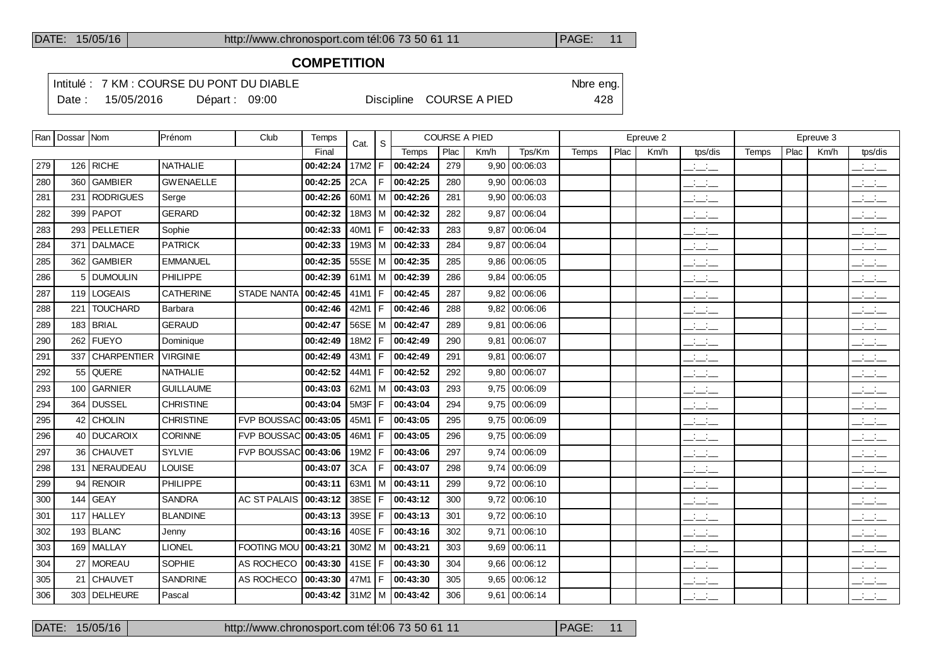### **COMPETITION**

Intitulé : 7 KM : COURSE DU PONT DU DIABLE Note that the state of the SN of the eng. Date : 15/05/2016 Départ : 09:00 Discipline COURSE A PIED 428

|     | Ran   Dossar   Nom |                           | Prénom           | Club                        | Temps    | Cat.     | <sub>S</sub> |                       |      | <b>COURSE A PIED</b> |                 |       |      | Epreuve 2 |                                 |       |      | Epreuve 3 |                                                       |
|-----|--------------------|---------------------------|------------------|-----------------------------|----------|----------|--------------|-----------------------|------|----------------------|-----------------|-------|------|-----------|---------------------------------|-------|------|-----------|-------------------------------------------------------|
|     |                    |                           |                  |                             | Final    |          |              | Temps                 | Plac | Km/h                 | Tps/Km          | Temps | Plac | Km/h      | tps/dis                         | Temps | Plac | Km/h      | tps/dis                                               |
| 279 |                    | 126 RICHE                 | <b>NATHALIE</b>  |                             | 00:42:24 | 17M2     | F            | 00:42:24              | 279  | 9,90                 | 00:06:03        |       |      |           | $\mathbb{R}$ and $\mathbb{R}$   |       |      |           | $\frac{1}{2}$ $\frac{1}{2}$ $\frac{1}{2}$             |
| 280 | 360                | <b>GAMBIER</b>            | <b>GWENAELLE</b> |                             | 00:42:25 | 2CA      | F            | 00:42:25              | 280  | 9,90                 | 00:06:03        |       |      |           | $\frac{1}{2}$ and $\frac{1}{2}$ |       |      |           | $\frac{1}{2}$                                         |
| 281 | 231                | RODRIGUES                 | Serge            |                             | 00:42:26 |          |              | 60M1   M $ $ 00:42:26 | 281  |                      | $9,90$ 00:06:03 |       |      |           | للأسائل                         |       |      |           | للأسائب                                               |
| 282 | 399                | <b>PAPOT</b>              | <b>GERARD</b>    |                             | 00:42:32 | 18M3     | l M          | 00:42:32              | 282  | 9.87                 | 00:06:04        |       |      |           | $\mathbb{Z}$ and $\mathbb{Z}$   |       |      |           | $\overline{\phantom{a}}$                              |
| 283 |                    | 293 PELLETIER             | Sophie           |                             | 00:42:33 | 40M1     | F            | 00:42:33              | 283  |                      | 9,87 00:06:04   |       |      |           | $ -$                            |       |      |           | $\frac{1}{2}$ and $\frac{1}{2}$                       |
| 284 | 371                | <b>DALMACE</b>            | <b>PATRICK</b>   |                             | 00:42:33 | 19M3     | l M          | 00:42:33              | 284  | 9.87                 | 00:06:04        |       |      |           | $\mathbb{Z}$ and $\mathbb{Z}$   |       |      |           | $\overline{\phantom{a}}$                              |
| 285 |                    | 362 GAMBIER               | <b>EMMANUEL</b>  |                             | 00:42:35 | $55SE$ M |              | 00:42:35              | 285  | 9.86                 | 00:06:05        |       |      |           | $\frac{1}{2}$ and $\frac{1}{2}$ |       |      |           | $\overline{\phantom{a}}$ $\overline{\phantom{a}}$     |
| 286 |                    | <b>DUMOULIN</b>           | <b>PHILIPPE</b>  |                             | 00:42:39 | 61M1     | м            | 00:42:39              | 286  | 9.84                 | 00:06:05        |       |      |           | $ -$                            |       |      |           | $ -$                                                  |
| 287 |                    | 119 LOGEAIS               | <b>CATHERINE</b> | <b>STADE NANTA</b>          | 00:42:45 | 41M1     | F            | 00:42:45              | 287  |                      | $9,82$ 00:06:06 |       |      |           | $ -$                            |       |      |           | $\overline{\phantom{a}}$ and $\overline{\phantom{a}}$ |
| 288 | 221                | <b>TOUCHARD</b>           | Barbara          |                             | 00:42:46 | 42M1     | F            | 00:42:46              | 288  | 9.82                 | 00:06:06        |       |      |           | $\frac{1}{2}$ and $\frac{1}{2}$ |       |      |           | $\mathbb{Z}$ and $\mathbb{Z}$                         |
| 289 |                    | $183$ BRIAL               | <b>GERAUD</b>    |                             | 00:42:47 | 56SE     | l M          | 00:42:47              | 289  |                      | $9,81$ 00:06:06 |       |      |           | $\frac{1}{2}$ and $\frac{1}{2}$ |       |      |           | $\frac{1}{2}$ $\frac{1}{2}$ $\frac{1}{2}$             |
| 290 |                    | 262 FUEYO                 | Dominique        |                             | 00:42:49 | 18M2     | F            | 00:42:49              | 290  | 9.81                 | 00:06:07        |       |      |           | $  -$                           |       |      |           | $\overline{\phantom{a}}$                              |
| 291 | 337                | <i><b>CHARPENTIER</b></i> | <b>VIRGINIE</b>  |                             | 00:42:49 | 43M1     | F            | 00:42:49              | 291  |                      | 9,81 00:06:07   |       |      |           | $\frac{1}{2}$ and $\frac{1}{2}$ |       |      |           | $\sim 10^{-1}$ m $^{-1}$<br>$  -$                     |
| 292 |                    | 55 QUERE                  | <b>NATHALIE</b>  |                             | 00:42:52 | 44M1     | F            | 00:42:52              | 292  | 9.80                 | 00:06:07        |       |      |           | $\overline{\phantom{a}}$        |       |      |           | $\overline{\phantom{a}}$                              |
| 293 | 100                | GARNIER                   | <b>GUILLAUME</b> |                             | 00:43:03 | 62M1     |              | M 00:43:03            | 293  |                      | 9,75 00:06:09   |       |      |           | $\mathcal{L} = \mathcal{L}$     |       |      |           | $\frac{1}{2}$                                         |
| 294 | 364                | <b>DUSSEL</b>             | <b>CHRISTINE</b> |                             | 00:43:04 | 5M3F     | F            | 00:43:04              | 294  |                      | $9,75$ 00:06:09 |       |      |           | $\frac{1}{2}$ and $\frac{1}{2}$ |       |      |           | $\frac{1}{2}$ and $\frac{1}{2}$                       |
| 295 |                    | 42 CHOLIN                 | <b>CHRISTINE</b> | <b>FVP BOUSSAC</b>          | 00:43:05 | 45M1     | F            | 00:43:05              | 295  |                      | 9,75 00:06:09   |       |      |           | $ -$                            |       |      |           | $\overline{\phantom{a}}$                              |
| 296 |                    | 40 DUCAROIX               | CORINNE          | <b>FVP BOUSSAC 00:43:05</b> |          | 46M1     | F            | 00:43:05              | 296  |                      | $9,75$ 00:06:09 |       |      |           | $\overline{\phantom{a}}$        |       |      |           | $\frac{1}{2}$ and $\frac{1}{2}$                       |
| 297 |                    | 36 CHAUVET                | SYLVIE           | FVP BOUSSAC 00:43:06        |          | 19M2     | F            | 00:43:06              | 297  |                      | 9,74 00:06:09   |       |      |           | $\overline{\phantom{a}}$        |       |      |           | للأسائب                                               |
| 298 | 131                | NERAUDEAU                 | <b>LOUISE</b>    |                             | 00:43:07 | 3CA      | F            | 00:43:07              | 298  | 9.74                 | 00:06:09        |       |      |           | للمناصب                         |       |      |           | $\overline{\phantom{a}}$                              |
| 299 | 94                 | <b>RENOIR</b>             | PHILIPPE         |                             | 00:43:11 | 63M1     | М            | 00:43:11              | 299  | 9.72                 | 00:06:10        |       |      |           | $\frac{1}{2}$ and $\frac{1}{2}$ |       |      |           | $\frac{1}{2}$ $\frac{1}{2}$ $\frac{1}{2}$             |
| 300 |                    | 144 GEAY                  | <b>SANDRA</b>    | <b>AC ST PALAIS</b>         | 00:43:12 | 38SE     | F            | 00:43:12              | 300  |                      | $9,72$ 00:06:10 |       |      |           | $\frac{1}{2}$ and $\frac{1}{2}$ |       |      |           | $\frac{1}{2}$ and $\frac{1}{2}$                       |
| 301 | 117                | <b>HALLEY</b>             | <b>BLANDINE</b>  |                             | 00:43:13 | 39SE     | F            | 00:43:13              | 301  |                      | $9,72$ 00:06:10 |       |      |           | $  -$                           |       |      |           | $\overline{\phantom{a}}$ $\overline{\phantom{a}}$     |
| 302 |                    | $193$ BLANC               | Jenny            |                             | 00:43:16 | 40SE     | F            | 00:43:16              | 302  |                      | $9,71$ 00:06:10 |       |      |           | $ -$                            |       |      |           | $\overline{\phantom{a}}$ $\overline{\phantom{a}}$     |
| 303 |                    | 169   MALLAY              | <b>LIONEL</b>    | <b>FOOTING MOU</b>          | 00:43:21 | $30M2$ M |              | 00:43:21              | 303  | 9.69                 | 00:06:11        |       |      |           | $\frac{1}{2}$ and $\frac{1}{2}$ |       |      |           | $\frac{1}{2}$                                         |
| 304 |                    | 27   MOREAU               | SOPHIE           | AS ROCHECO                  | 00:43:30 | 41SE     | l F          | 00:43:30              | 304  |                      | $9,66$ 00:06:12 |       |      |           | $\frac{1}{2}$ and $\frac{1}{2}$ |       |      |           | $ -$                                                  |
| 305 | 21                 | <b>CHAUVET</b>            | <b>SANDRINE</b>  | AS ROCHECO                  | 00:43:30 | 47M1     | F            | 00:43:30              | 305  | 9,65                 | 00:06:12        |       |      |           | $ -$                            |       |      |           | $\frac{1}{2}$ and $\frac{1}{2}$                       |
| 306 |                    | 303 DELHEURE              | Pascal           |                             | 00:43:42 |          |              | $31M2$ M $ $ 00:43:42 | 306  |                      | $9,61$ 00:06:14 |       |      |           | <b>Service</b><br>$  -$         |       |      |           | <b>Contract</b><br>$  -$                              |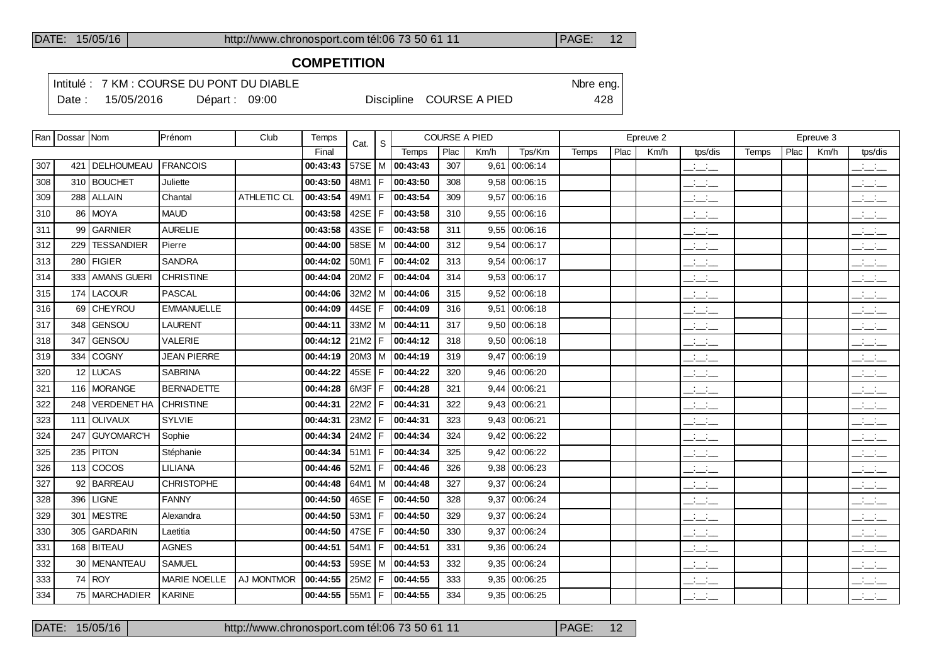### **COMPETITION**

Intitulé : 7 KM : COURSE DU PONT DU DIABLE Note that the state of the SN of the eng.

Date : 15/05/2016 Départ : 09:00 Discipline COURSE A PIED 428

|     | Ran   Dossar   Nom |                    | Prénom             | Club        | Temps    | Cat.       | <sub>S</sub> |                       | <b>COURSE A PIED</b> |      |                 |       |      | Epreuve 2 |                                 |       |      | Epreuve 3 |                                 |
|-----|--------------------|--------------------|--------------------|-------------|----------|------------|--------------|-----------------------|----------------------|------|-----------------|-------|------|-----------|---------------------------------|-------|------|-----------|---------------------------------|
|     |                    |                    |                    |             | Final    |            |              | Temps                 | Plac                 | Km/h | Tps/Km          | Temps | Plac | Km/h      | tps/dis                         | Temps | Plac | Km/h      | tps/dis                         |
| 307 |                    | 421   DELHOUMEAU   | <b>FRANCOIS</b>    |             | 00:43:43 |            |              | 57SE   M   00:43:43   | 307                  |      | $9,61$ 00:06:14 |       |      |           | $\frac{1}{2}$ and $\frac{1}{2}$ |       |      |           | سأستأث                          |
| 308 |                    | 310 BOUCHET        | Juliette           |             | 00:43:50 | 48M1       | F            | 00:43:50              | 308                  |      | $9,58$ 00:06:15 |       |      |           | $\frac{1}{2}$ and $\frac{1}{2}$ |       |      |           | $\mathbb{R}$ and $\mathbb{R}$   |
| 309 |                    | 288 ALLAIN         | Chantal            | ATHLETIC CL | 00:43:54 | 49M1       | F            | 00:43:54              | 309                  |      | $9,57$ 00:06:16 |       |      |           | $\mathbb{R}$ and $\mathbb{R}$   |       |      |           | للأساب                          |
| 310 | 86                 | <b>MOYA</b>        | <b>MAUD</b>        |             | 00:43:58 | 42SE       | F            | 00:43:58              | 310                  |      | $9,55$ 00:06:16 |       |      |           | $\frac{1}{2}$ and $\frac{1}{2}$ |       |      |           | $\mathbb{R}$ and $\mathbb{R}$   |
| 311 | 99                 | GARNIER            | <b>AURELIE</b>     |             | 00:43:58 | 43SE $ F $ |              | 00:43:58              | 311                  |      | $9,55$ 00:06:16 |       |      |           | للأسائل                         |       |      |           | $\mathbb{R}$ and $\mathbb{R}$   |
| 312 | 229                | <b>TESSANDIER</b>  | Pierre             |             | 00:44:00 | $58SE$   M |              | 00:44:00              | 312                  |      | 9,54 00:06:17   |       |      |           | $ -$                            |       |      |           | $ -$                            |
| 313 |                    | $280$ FIGIER       | <b>SANDRA</b>      |             | 00:44:02 | 50M1       | F            | 00:44:02              | 313                  |      | $9,54$ 00:06:17 |       |      |           | $\overline{\phantom{a}}$        |       |      |           | $\frac{1}{2}$ and $\frac{1}{2}$ |
| 314 | 333                | AMANS GUERI        | <b>CHRISTINE</b>   |             | 00:44:04 | 20M2       | F            | 00:44:04              | 314                  |      | 9,53 00:06:17   |       |      |           | $\overline{\phantom{a}}$        |       |      |           | $ -$                            |
| 315 | 174                | LACOUR             | <b>PASCAL</b>      |             | 00:44:06 |            |              | $32M2$   M   00:44:06 | 315                  |      | $9,52$ 00:06:18 |       |      |           | $\overline{\phantom{a}}$        |       |      |           | $\overline{\phantom{a}}$        |
| 316 | 69                 | <b>CHEYROU</b>     | <b>EMMANUELLE</b>  |             | 00:44:09 | 44SE       | F            | 00:44:09              | 316                  |      | 9,51 00:06:18   |       |      |           | $\overline{\phantom{a}}$        |       |      |           | $ -$                            |
| 317 | 348                | GENSOU             | <b>LAURENT</b>     |             | 00:44:11 |            |              | 33M2   M   00:44:11   | 317                  |      | $9,50$ 00:06:18 |       |      |           | للأسائد                         |       |      |           | $ -$                            |
| 318 | 347                | <b>GENSOU</b>      | VALERIE            |             | 00:44:12 | 21M2       | F            | 00:44:12              | 318                  |      | $9,50$ 00:06:18 |       |      |           | $\frac{1}{2}$ and $\frac{1}{2}$ |       |      |           | $\mathcal{L} = \mathcal{L}$     |
| 319 | 334                | COGNY              | <b>JEAN PIERRE</b> |             | 00:44:19 |            |              | 20M3   M   00:44:19   | 319                  |      | 9,47 00:06:19   |       |      |           | للمناصب                         |       |      |           | للمناصب                         |
| 320 | $12 \overline{ }$  | <b>LUCAS</b>       | <b>SABRINA</b>     |             | 00:44:22 | 45SE       | F            | 00:44:22              | 320                  |      | 9,46 00:06:20   |       |      |           | للأسائل                         |       |      |           | $\frac{1}{2}$                   |
| 321 |                    | 116   MORANGE      | <b>BERNADETTE</b>  |             | 00:44:28 | 6M3F       | F            | 00:44:28              | 321                  |      | $9,44$ 00:06:21 |       |      |           | للأساب                          |       |      |           | $\frac{1}{2}$                   |
| 322 | 248                | <b>VERDENET HA</b> | <b>CHRISTINE</b>   |             | 00:44:31 | 22M2       | F            | 00:44:31              | 322                  |      | 9,43 00:06:21   |       |      |           | للأسائد                         |       |      |           | للأسائد                         |
| 323 | 111                | <b>OLIVAUX</b>     | <b>SYLVIE</b>      |             | 00:44:31 | 23M2       | F            | 00:44:31              | 323                  |      | 9,43 00:06:21   |       |      |           | للأسائد                         |       |      |           | للأسائد                         |
| 324 | 247                | <b>GUYOMARC'H</b>  | Sophie             |             | 00:44:34 | 24M2       | F            | 00:44:34              | 324                  |      | 9,42 00:06:22   |       |      |           | $ -$                            |       |      |           | للأسائد                         |
| 325 | 235                | PITON              | Stéphanie          |             | 00:44:34 | 51M1       | F            | 00:44:34              | 325                  |      | 9,42 00:06:22   |       |      |           | سأسأب                           |       |      |           | $\mathbb{R}$ and $\mathbb{R}$   |
| 326 |                    | $113$ COCOS        | <b>LILIANA</b>     |             | 00:44:46 | 52M1       | F            | 00:44:46              | 326                  |      | 9,38 00:06:23   |       |      |           | $\overline{\phantom{a}}$        |       |      |           | $\frac{1}{2}$ and $\frac{1}{2}$ |
| 327 | 92                 | <b>BARREAU</b>     | <b>CHRISTOPHE</b>  |             | 00:44:48 | 64M1       |              | M 00:44:48            | 327                  | 9,37 | 00:06:24        |       |      |           | للأسائل                         |       |      |           | $\frac{1}{2}$                   |
| 328 | 396                | LIGNE              | <b>FANNY</b>       |             | 00:44:50 | 46SE       | l F          | 00:44:50              | 328                  |      | $9,37$ 00:06:24 |       |      |           | $\overline{\phantom{a}}$        |       |      |           | للمستنقذ                        |
| 329 | 301                | <b>IMESTRE</b>     | Alexandra          |             | 00:44:50 | 53M1       | F            | 00:44:50              | 329                  | 9.37 | 00:06:24        |       |      |           | $\overline{\phantom{a}}$        |       |      |           | للمستنقذ                        |
| 330 | 305                | GARDARIN           | Laetitia           |             | 00:44:50 | 47SE       | F            | 00:44:50              | 330                  | 9.37 | 00:06:24        |       |      |           | $\overline{\phantom{a}}$        |       |      |           | $\mathbb{R}$ and $\mathbb{R}$   |
| 331 |                    | 168 BITEAU         | <b>AGNES</b>       |             | 00:44:51 | 54M1       | F            | 00:44:51              | 331                  | 9,36 | 00:06:24        |       |      |           | $\overline{\phantom{a}}$        |       |      |           | $\frac{1}{2}$ and $\frac{1}{2}$ |
| 332 |                    | 30   MENANTEAU     | <b>SAMUEL</b>      |             | 00:44:53 |            |              | 59SE   M   00:44:53   | 332                  |      | 9,35 00:06:24   |       |      |           | $\frac{1}{2}$                   |       |      |           | $\overline{\phantom{a}}$        |
| 333 |                    | $74$ ROY           | MARIE NOELLE       | AJ MONTMOR  | 00:44:55 | 25M2       | F            | 00:44:55              | 333                  |      | 9,35   00:06:25 |       |      |           | $  -$                           |       |      |           | للمناصب                         |
| 334 |                    | 75   MARCHADIER    | KARINE             |             | 00:44:55 | $55M1$   F |              | 00:44:55              | 334                  |      | $9,35$ 00:06:25 |       |      |           | $ -$                            |       |      |           | $ -$                            |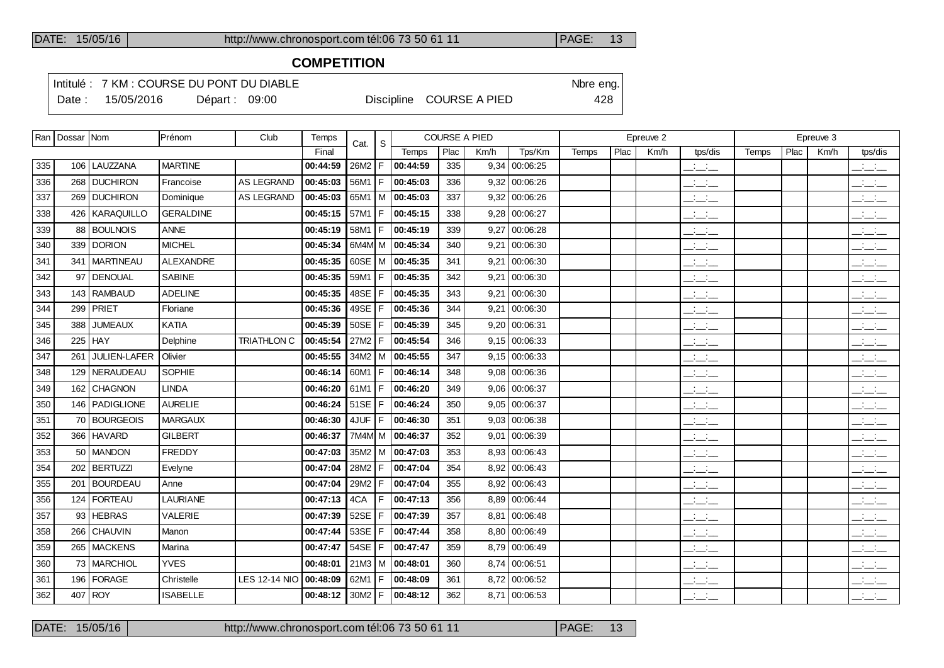### **COMPETITION**

Intitulé : 7 KM : COURSE DU PONT DU DIABLE Note that the state of the SN of the eng.

Date : 15/05/2016 Départ : 09:00 Discipline COURSE A PIED 428

| Plac<br>Plac<br>Plac<br>Final<br>Temps<br>Km/h<br>Tps/Km<br>Km/h<br>Km/h<br>Temps<br>tps/dis<br>Temps<br>106   LAUZZANA<br><b>MARTINE</b><br>00:44:59<br>26M2<br>F<br>00:44:59<br>335<br>9,34<br>00:06:25<br>$\overline{\phantom{a}}$<br>335<br><b>DUCHIRON</b><br>AS LEGRAND<br>00:45:03<br>F<br> 00:45:03<br>336<br>9,32 00:06:26<br>336<br>268<br>Francoise<br>56M1<br>$\frac{1}{2}$ and $\frac{1}{2}$<br>00:45:03<br>337<br>337<br>269 DUCHIRON<br>Dominique<br><b>AS LEGRAND</b><br>65M1<br>M 00:45:03<br>00:06:26<br>9,32<br>$ -$<br> 00:45:15<br>338<br>  KARAQUILLO<br><b>GERALDINE</b><br>00:45:15<br>57M1<br>F<br>338<br>$9,28$ 00:06:27<br>426<br>$ -$<br><b>BOULNOIS</b><br><b>ANNE</b><br>00:45:19<br> 00:45:19<br>339<br>9,27<br>00:06:28<br>339<br>58M1<br>F<br>$\overline{\phantom{a}}$<br>88<br>DORION<br><b>MICHEL</b><br>6M4M M 00:45:34<br>340<br>340<br>339<br>00:45:34<br>9.21<br>00:06:30<br>$  -$<br><b>MARTINEAU</b><br><b>ALEXANDRE</b><br>00:45:35<br>60SE<br>M 00:45:35<br>341<br>341<br>9.21<br>00:06:30<br>341<br>$\overline{\phantom{a}}$<br> 00:45:35<br>DENOUAL<br><b>SABINE</b><br>00:45:35<br>F.<br>342<br>342<br>97<br>59M1<br>9.21<br>00:06:30<br>$\overline{\phantom{a}}$<br><b>ADELINE</b><br>00:45:35<br>48SE<br>00:45:35<br><b>RAMBAUD</b><br>343<br>00:06:30<br>343<br>143<br>F<br>9,21<br>$\overline{\phantom{a}}$<br>49SE<br> 00:45:36<br>PRIET<br>Floriane<br>00:45:36<br>F<br>344<br>9,21<br>00:06:30<br>344<br>299<br>$\overline{\phantom{a}}$ and $\overline{\phantom{a}}$<br>KATIA<br>00:45:39<br>50SE<br>00:45:39<br>345<br><b>JUMEAUX</b><br>F<br>00:06:31<br>345<br>388<br>9,20<br>$ -$<br>TRIATHLON C<br>00:45:54<br>27M2<br> 00:45:54<br>346<br>225<br>l HAY<br>Delphine<br>F<br>346<br>$9,15$ 00:06:33<br><b>Service</b><br>$  -$<br>JULIEN-LAFER<br>00:45:55<br> 00:45:55<br>347<br>$9,15$ 00:06:33<br>347<br>Olivier<br>34M2<br>$\frac{1}{2}$ and $\frac{1}{2}$<br>261<br>м<br>NERAUDEAU<br><b>SOPHIE</b><br>F<br> 00:46:14<br>348<br>$9,08$ 00:06:36<br>00:46:14<br>60M1<br>$\mathcal{A}^{\mathcal{A}}$ and $\mathcal{A}^{\mathcal{A}}$<br>348<br>129<br>$  -$<br>162 CHAGNON<br><b>LINDA</b><br>00:46:20<br>00:46:20<br>349<br>349<br>61M1<br>F<br>$9,06$ 00:06:37<br>للأساس<br>146 PADIGLIONE<br><b>AURELIE</b><br>00:46:24<br>51SE<br> 00:46:24<br>350<br>$9,05$ 00:06:37<br>350<br>l F<br>$\frac{1}{2}$ and $\frac{1}{2}$<br>351<br><b>BOURGEOIS</b><br><b>MARGAUX</b><br>00:46:30<br>351<br>$9,03$ 00:06:38<br>00:46:30<br>4JUF<br>F<br>$\frac{1}{2}$ and $\frac{1}{2}$<br>70<br><b>HAVARD</b><br><b>GILBERT</b><br>7M4M M   00:46:37<br>352<br>9,01 00:06:39<br>352<br>366<br>00:46:37<br>$\overline{\phantom{a}}$<br>353<br>353<br>MANDON<br><b>FREDDY</b><br> 00:47:03<br>8,93 00:06:43<br>50<br>00:47:03<br>35M2<br>l M<br>$\frac{1}{2}$ $\frac{1}{2}$ $\frac{1}{2}$<br><b>BERTUZZI</b><br>00:47:04<br> 00:47:04<br>28M2<br>F<br>354<br>8,92 00:06:43<br>354<br>202<br>Evelyne<br>$ -$<br>355<br><b>BOURDEAU</b><br>00:47:04<br>29M2<br>00:47:04<br>355<br>8,92 00:06:43<br>201<br>Anne<br>F<br>$\frac{1}{2}$ $\frac{1}{2}$ $\frac{1}{2}$<br><b>LAURIANE</b><br>00:47:13<br><b>FORTEAU</b><br>4CA<br> 00:47:13<br>356<br>8,89 00:06:44<br>356<br>F<br>124<br>$ -$<br><b>HEBRAS</b><br><b>VALERIE</b><br>52SE<br>357<br>357<br>00:47:39<br>00:47:39<br>00:06:48<br>93<br>F<br>8.81<br>$\overline{\phantom{a}}$<br>53SE<br><b>CHAUVIN</b><br>00:47:44<br>00:47:44<br>358<br>8,80 00:06:49<br>سأساب<br>358<br>266<br>Manon<br>F<br>54SE<br>00:47:47<br>359<br>8,79 00:06:49<br>359<br>265<br><b>MACKENS</b><br>00:47:47<br>F<br>$\overline{\phantom{a}}$<br>Marina<br><b>YVES</b><br>MARCHIOL<br>21M3<br>M 00:48:01<br>360<br>8,74 00:06:51<br>للمنافث<br>73<br>00:48:01<br>360<br>FORAGE<br><b>LES 12-14 NIO</b><br> 00:48:09<br>8,72 00:06:52<br>361<br>196<br>62M1<br>F<br>361<br><b>Contract</b> | Ran   Dossar   Nom | Prénom     | Club | Temps    | Cat. | <sub>S</sub> |  | <b>COURSE A PIED</b> |  | Epreuve 2 |  | Epreuve 3 |  |  |  |                                                                                                                                                                                                                                                                                                                     |
|----------------------------------------------------------------------------------------------------------------------------------------------------------------------------------------------------------------------------------------------------------------------------------------------------------------------------------------------------------------------------------------------------------------------------------------------------------------------------------------------------------------------------------------------------------------------------------------------------------------------------------------------------------------------------------------------------------------------------------------------------------------------------------------------------------------------------------------------------------------------------------------------------------------------------------------------------------------------------------------------------------------------------------------------------------------------------------------------------------------------------------------------------------------------------------------------------------------------------------------------------------------------------------------------------------------------------------------------------------------------------------------------------------------------------------------------------------------------------------------------------------------------------------------------------------------------------------------------------------------------------------------------------------------------------------------------------------------------------------------------------------------------------------------------------------------------------------------------------------------------------------------------------------------------------------------------------------------------------------------------------------------------------------------------------------------------------------------------------------------------------------------------------------------------------------------------------------------------------------------------------------------------------------------------------------------------------------------------------------------------------------------------------------------------------------------------------------------------------------------------------------------------------------------------------------------------------------------------------------------------------------------------------------------------------------------------------------------------------------------------------------------------------------------------------------------------------------------------------------------------------------------------------------------------------------------------------------------------------------------------------------------------------------------------------------------------------------------------------------------------------------------------------------------------------------------------------------------------------------------------------------------------------------------------------------------------------------------------------------------------------------------------------------------------------------------------------------------------------------------------------------------------------------------------------------------------------------------------------------------------------------------------------------------------------------------------------------------------------------------------------------------------------------------------------------------------------------------------------------------------|--------------------|------------|------|----------|------|--------------|--|----------------------|--|-----------|--|-----------|--|--|--|---------------------------------------------------------------------------------------------------------------------------------------------------------------------------------------------------------------------------------------------------------------------------------------------------------------------|
|                                                                                                                                                                                                                                                                                                                                                                                                                                                                                                                                                                                                                                                                                                                                                                                                                                                                                                                                                                                                                                                                                                                                                                                                                                                                                                                                                                                                                                                                                                                                                                                                                                                                                                                                                                                                                                                                                                                                                                                                                                                                                                                                                                                                                                                                                                                                                                                                                                                                                                                                                                                                                                                                                                                                                                                                                                                                                                                                                                                                                                                                                                                                                                                                                                                                                                                                                                                                                                                                                                                                                                                                                                                                                                                                                                                                                                                                      |                    |            |      |          |      |              |  |                      |  |           |  |           |  |  |  | tps/dis                                                                                                                                                                                                                                                                                                             |
|                                                                                                                                                                                                                                                                                                                                                                                                                                                                                                                                                                                                                                                                                                                                                                                                                                                                                                                                                                                                                                                                                                                                                                                                                                                                                                                                                                                                                                                                                                                                                                                                                                                                                                                                                                                                                                                                                                                                                                                                                                                                                                                                                                                                                                                                                                                                                                                                                                                                                                                                                                                                                                                                                                                                                                                                                                                                                                                                                                                                                                                                                                                                                                                                                                                                                                                                                                                                                                                                                                                                                                                                                                                                                                                                                                                                                                                                      |                    |            |      |          |      |              |  |                      |  |           |  |           |  |  |  | $\frac{1}{2}$ and $\frac{1}{2}$                                                                                                                                                                                                                                                                                     |
|                                                                                                                                                                                                                                                                                                                                                                                                                                                                                                                                                                                                                                                                                                                                                                                                                                                                                                                                                                                                                                                                                                                                                                                                                                                                                                                                                                                                                                                                                                                                                                                                                                                                                                                                                                                                                                                                                                                                                                                                                                                                                                                                                                                                                                                                                                                                                                                                                                                                                                                                                                                                                                                                                                                                                                                                                                                                                                                                                                                                                                                                                                                                                                                                                                                                                                                                                                                                                                                                                                                                                                                                                                                                                                                                                                                                                                                                      |                    |            |      |          |      |              |  |                      |  |           |  |           |  |  |  | $\frac{1}{2}$                                                                                                                                                                                                                                                                                                       |
|                                                                                                                                                                                                                                                                                                                                                                                                                                                                                                                                                                                                                                                                                                                                                                                                                                                                                                                                                                                                                                                                                                                                                                                                                                                                                                                                                                                                                                                                                                                                                                                                                                                                                                                                                                                                                                                                                                                                                                                                                                                                                                                                                                                                                                                                                                                                                                                                                                                                                                                                                                                                                                                                                                                                                                                                                                                                                                                                                                                                                                                                                                                                                                                                                                                                                                                                                                                                                                                                                                                                                                                                                                                                                                                                                                                                                                                                      |                    |            |      |          |      |              |  |                      |  |           |  |           |  |  |  | $\mathbb{R}$ and $\mathbb{R}$                                                                                                                                                                                                                                                                                       |
|                                                                                                                                                                                                                                                                                                                                                                                                                                                                                                                                                                                                                                                                                                                                                                                                                                                                                                                                                                                                                                                                                                                                                                                                                                                                                                                                                                                                                                                                                                                                                                                                                                                                                                                                                                                                                                                                                                                                                                                                                                                                                                                                                                                                                                                                                                                                                                                                                                                                                                                                                                                                                                                                                                                                                                                                                                                                                                                                                                                                                                                                                                                                                                                                                                                                                                                                                                                                                                                                                                                                                                                                                                                                                                                                                                                                                                                                      |                    |            |      |          |      |              |  |                      |  |           |  |           |  |  |  | $\frac{1}{2}$                                                                                                                                                                                                                                                                                                       |
|                                                                                                                                                                                                                                                                                                                                                                                                                                                                                                                                                                                                                                                                                                                                                                                                                                                                                                                                                                                                                                                                                                                                                                                                                                                                                                                                                                                                                                                                                                                                                                                                                                                                                                                                                                                                                                                                                                                                                                                                                                                                                                                                                                                                                                                                                                                                                                                                                                                                                                                                                                                                                                                                                                                                                                                                                                                                                                                                                                                                                                                                                                                                                                                                                                                                                                                                                                                                                                                                                                                                                                                                                                                                                                                                                                                                                                                                      |                    |            |      |          |      |              |  |                      |  |           |  |           |  |  |  | $\frac{1}{2}$                                                                                                                                                                                                                                                                                                       |
|                                                                                                                                                                                                                                                                                                                                                                                                                                                                                                                                                                                                                                                                                                                                                                                                                                                                                                                                                                                                                                                                                                                                                                                                                                                                                                                                                                                                                                                                                                                                                                                                                                                                                                                                                                                                                                                                                                                                                                                                                                                                                                                                                                                                                                                                                                                                                                                                                                                                                                                                                                                                                                                                                                                                                                                                                                                                                                                                                                                                                                                                                                                                                                                                                                                                                                                                                                                                                                                                                                                                                                                                                                                                                                                                                                                                                                                                      |                    |            |      |          |      |              |  |                      |  |           |  |           |  |  |  | $\frac{1}{2}$ and $\frac{1}{2}$                                                                                                                                                                                                                                                                                     |
|                                                                                                                                                                                                                                                                                                                                                                                                                                                                                                                                                                                                                                                                                                                                                                                                                                                                                                                                                                                                                                                                                                                                                                                                                                                                                                                                                                                                                                                                                                                                                                                                                                                                                                                                                                                                                                                                                                                                                                                                                                                                                                                                                                                                                                                                                                                                                                                                                                                                                                                                                                                                                                                                                                                                                                                                                                                                                                                                                                                                                                                                                                                                                                                                                                                                                                                                                                                                                                                                                                                                                                                                                                                                                                                                                                                                                                                                      |                    |            |      |          |      |              |  |                      |  |           |  |           |  |  |  | $\frac{1}{2}$                                                                                                                                                                                                                                                                                                       |
|                                                                                                                                                                                                                                                                                                                                                                                                                                                                                                                                                                                                                                                                                                                                                                                                                                                                                                                                                                                                                                                                                                                                                                                                                                                                                                                                                                                                                                                                                                                                                                                                                                                                                                                                                                                                                                                                                                                                                                                                                                                                                                                                                                                                                                                                                                                                                                                                                                                                                                                                                                                                                                                                                                                                                                                                                                                                                                                                                                                                                                                                                                                                                                                                                                                                                                                                                                                                                                                                                                                                                                                                                                                                                                                                                                                                                                                                      |                    |            |      |          |      |              |  |                      |  |           |  |           |  |  |  | $\frac{1}{2}$                                                                                                                                                                                                                                                                                                       |
|                                                                                                                                                                                                                                                                                                                                                                                                                                                                                                                                                                                                                                                                                                                                                                                                                                                                                                                                                                                                                                                                                                                                                                                                                                                                                                                                                                                                                                                                                                                                                                                                                                                                                                                                                                                                                                                                                                                                                                                                                                                                                                                                                                                                                                                                                                                                                                                                                                                                                                                                                                                                                                                                                                                                                                                                                                                                                                                                                                                                                                                                                                                                                                                                                                                                                                                                                                                                                                                                                                                                                                                                                                                                                                                                                                                                                                                                      |                    |            |      |          |      |              |  |                      |  |           |  |           |  |  |  | $\frac{1}{2}$                                                                                                                                                                                                                                                                                                       |
|                                                                                                                                                                                                                                                                                                                                                                                                                                                                                                                                                                                                                                                                                                                                                                                                                                                                                                                                                                                                                                                                                                                                                                                                                                                                                                                                                                                                                                                                                                                                                                                                                                                                                                                                                                                                                                                                                                                                                                                                                                                                                                                                                                                                                                                                                                                                                                                                                                                                                                                                                                                                                                                                                                                                                                                                                                                                                                                                                                                                                                                                                                                                                                                                                                                                                                                                                                                                                                                                                                                                                                                                                                                                                                                                                                                                                                                                      |                    |            |      |          |      |              |  |                      |  |           |  |           |  |  |  | $\overline{\phantom{a}}$ $\overline{\phantom{a}}$                                                                                                                                                                                                                                                                   |
|                                                                                                                                                                                                                                                                                                                                                                                                                                                                                                                                                                                                                                                                                                                                                                                                                                                                                                                                                                                                                                                                                                                                                                                                                                                                                                                                                                                                                                                                                                                                                                                                                                                                                                                                                                                                                                                                                                                                                                                                                                                                                                                                                                                                                                                                                                                                                                                                                                                                                                                                                                                                                                                                                                                                                                                                                                                                                                                                                                                                                                                                                                                                                                                                                                                                                                                                                                                                                                                                                                                                                                                                                                                                                                                                                                                                                                                                      |                    |            |      |          |      |              |  |                      |  |           |  |           |  |  |  | $ -$                                                                                                                                                                                                                                                                                                                |
|                                                                                                                                                                                                                                                                                                                                                                                                                                                                                                                                                                                                                                                                                                                                                                                                                                                                                                                                                                                                                                                                                                                                                                                                                                                                                                                                                                                                                                                                                                                                                                                                                                                                                                                                                                                                                                                                                                                                                                                                                                                                                                                                                                                                                                                                                                                                                                                                                                                                                                                                                                                                                                                                                                                                                                                                                                                                                                                                                                                                                                                                                                                                                                                                                                                                                                                                                                                                                                                                                                                                                                                                                                                                                                                                                                                                                                                                      |                    |            |      |          |      |              |  |                      |  |           |  |           |  |  |  | <b>All Cards</b><br>$  -$                                                                                                                                                                                                                                                                                           |
|                                                                                                                                                                                                                                                                                                                                                                                                                                                                                                                                                                                                                                                                                                                                                                                                                                                                                                                                                                                                                                                                                                                                                                                                                                                                                                                                                                                                                                                                                                                                                                                                                                                                                                                                                                                                                                                                                                                                                                                                                                                                                                                                                                                                                                                                                                                                                                                                                                                                                                                                                                                                                                                                                                                                                                                                                                                                                                                                                                                                                                                                                                                                                                                                                                                                                                                                                                                                                                                                                                                                                                                                                                                                                                                                                                                                                                                                      |                    |            |      |          |      |              |  |                      |  |           |  |           |  |  |  | $\overline{\phantom{a}}$                                                                                                                                                                                                                                                                                            |
|                                                                                                                                                                                                                                                                                                                                                                                                                                                                                                                                                                                                                                                                                                                                                                                                                                                                                                                                                                                                                                                                                                                                                                                                                                                                                                                                                                                                                                                                                                                                                                                                                                                                                                                                                                                                                                                                                                                                                                                                                                                                                                                                                                                                                                                                                                                                                                                                                                                                                                                                                                                                                                                                                                                                                                                                                                                                                                                                                                                                                                                                                                                                                                                                                                                                                                                                                                                                                                                                                                                                                                                                                                                                                                                                                                                                                                                                      |                    |            |      |          |      |              |  |                      |  |           |  |           |  |  |  | $\overline{\phantom{a}}$                                                                                                                                                                                                                                                                                            |
|                                                                                                                                                                                                                                                                                                                                                                                                                                                                                                                                                                                                                                                                                                                                                                                                                                                                                                                                                                                                                                                                                                                                                                                                                                                                                                                                                                                                                                                                                                                                                                                                                                                                                                                                                                                                                                                                                                                                                                                                                                                                                                                                                                                                                                                                                                                                                                                                                                                                                                                                                                                                                                                                                                                                                                                                                                                                                                                                                                                                                                                                                                                                                                                                                                                                                                                                                                                                                                                                                                                                                                                                                                                                                                                                                                                                                                                                      |                    |            |      |          |      |              |  |                      |  |           |  |           |  |  |  | للأسائب                                                                                                                                                                                                                                                                                                             |
|                                                                                                                                                                                                                                                                                                                                                                                                                                                                                                                                                                                                                                                                                                                                                                                                                                                                                                                                                                                                                                                                                                                                                                                                                                                                                                                                                                                                                                                                                                                                                                                                                                                                                                                                                                                                                                                                                                                                                                                                                                                                                                                                                                                                                                                                                                                                                                                                                                                                                                                                                                                                                                                                                                                                                                                                                                                                                                                                                                                                                                                                                                                                                                                                                                                                                                                                                                                                                                                                                                                                                                                                                                                                                                                                                                                                                                                                      |                    |            |      |          |      |              |  |                      |  |           |  |           |  |  |  | للأسائد                                                                                                                                                                                                                                                                                                             |
|                                                                                                                                                                                                                                                                                                                                                                                                                                                                                                                                                                                                                                                                                                                                                                                                                                                                                                                                                                                                                                                                                                                                                                                                                                                                                                                                                                                                                                                                                                                                                                                                                                                                                                                                                                                                                                                                                                                                                                                                                                                                                                                                                                                                                                                                                                                                                                                                                                                                                                                                                                                                                                                                                                                                                                                                                                                                                                                                                                                                                                                                                                                                                                                                                                                                                                                                                                                                                                                                                                                                                                                                                                                                                                                                                                                                                                                                      |                    |            |      |          |      |              |  |                      |  |           |  |           |  |  |  | $\frac{1}{2}$ and $\frac{1}{2}$                                                                                                                                                                                                                                                                                     |
|                                                                                                                                                                                                                                                                                                                                                                                                                                                                                                                                                                                                                                                                                                                                                                                                                                                                                                                                                                                                                                                                                                                                                                                                                                                                                                                                                                                                                                                                                                                                                                                                                                                                                                                                                                                                                                                                                                                                                                                                                                                                                                                                                                                                                                                                                                                                                                                                                                                                                                                                                                                                                                                                                                                                                                                                                                                                                                                                                                                                                                                                                                                                                                                                                                                                                                                                                                                                                                                                                                                                                                                                                                                                                                                                                                                                                                                                      |                    |            |      |          |      |              |  |                      |  |           |  |           |  |  |  | $\frac{1}{2}$ and $\frac{1}{2}$                                                                                                                                                                                                                                                                                     |
|                                                                                                                                                                                                                                                                                                                                                                                                                                                                                                                                                                                                                                                                                                                                                                                                                                                                                                                                                                                                                                                                                                                                                                                                                                                                                                                                                                                                                                                                                                                                                                                                                                                                                                                                                                                                                                                                                                                                                                                                                                                                                                                                                                                                                                                                                                                                                                                                                                                                                                                                                                                                                                                                                                                                                                                                                                                                                                                                                                                                                                                                                                                                                                                                                                                                                                                                                                                                                                                                                                                                                                                                                                                                                                                                                                                                                                                                      |                    |            |      |          |      |              |  |                      |  |           |  |           |  |  |  | $\frac{1}{2}$ and $\frac{1}{2}$                                                                                                                                                                                                                                                                                     |
|                                                                                                                                                                                                                                                                                                                                                                                                                                                                                                                                                                                                                                                                                                                                                                                                                                                                                                                                                                                                                                                                                                                                                                                                                                                                                                                                                                                                                                                                                                                                                                                                                                                                                                                                                                                                                                                                                                                                                                                                                                                                                                                                                                                                                                                                                                                                                                                                                                                                                                                                                                                                                                                                                                                                                                                                                                                                                                                                                                                                                                                                                                                                                                                                                                                                                                                                                                                                                                                                                                                                                                                                                                                                                                                                                                                                                                                                      |                    |            |      |          |      |              |  |                      |  |           |  |           |  |  |  | $\frac{1}{2}$ and $\frac{1}{2}$                                                                                                                                                                                                                                                                                     |
|                                                                                                                                                                                                                                                                                                                                                                                                                                                                                                                                                                                                                                                                                                                                                                                                                                                                                                                                                                                                                                                                                                                                                                                                                                                                                                                                                                                                                                                                                                                                                                                                                                                                                                                                                                                                                                                                                                                                                                                                                                                                                                                                                                                                                                                                                                                                                                                                                                                                                                                                                                                                                                                                                                                                                                                                                                                                                                                                                                                                                                                                                                                                                                                                                                                                                                                                                                                                                                                                                                                                                                                                                                                                                                                                                                                                                                                                      |                    |            |      |          |      |              |  |                      |  |           |  |           |  |  |  | $\mathbb{R}$ and $\mathbb{R}$                                                                                                                                                                                                                                                                                       |
|                                                                                                                                                                                                                                                                                                                                                                                                                                                                                                                                                                                                                                                                                                                                                                                                                                                                                                                                                                                                                                                                                                                                                                                                                                                                                                                                                                                                                                                                                                                                                                                                                                                                                                                                                                                                                                                                                                                                                                                                                                                                                                                                                                                                                                                                                                                                                                                                                                                                                                                                                                                                                                                                                                                                                                                                                                                                                                                                                                                                                                                                                                                                                                                                                                                                                                                                                                                                                                                                                                                                                                                                                                                                                                                                                                                                                                                                      |                    |            |      |          |      |              |  |                      |  |           |  |           |  |  |  | $ -$                                                                                                                                                                                                                                                                                                                |
|                                                                                                                                                                                                                                                                                                                                                                                                                                                                                                                                                                                                                                                                                                                                                                                                                                                                                                                                                                                                                                                                                                                                                                                                                                                                                                                                                                                                                                                                                                                                                                                                                                                                                                                                                                                                                                                                                                                                                                                                                                                                                                                                                                                                                                                                                                                                                                                                                                                                                                                                                                                                                                                                                                                                                                                                                                                                                                                                                                                                                                                                                                                                                                                                                                                                                                                                                                                                                                                                                                                                                                                                                                                                                                                                                                                                                                                                      |                    |            |      |          |      |              |  |                      |  |           |  |           |  |  |  | للأساب                                                                                                                                                                                                                                                                                                              |
|                                                                                                                                                                                                                                                                                                                                                                                                                                                                                                                                                                                                                                                                                                                                                                                                                                                                                                                                                                                                                                                                                                                                                                                                                                                                                                                                                                                                                                                                                                                                                                                                                                                                                                                                                                                                                                                                                                                                                                                                                                                                                                                                                                                                                                                                                                                                                                                                                                                                                                                                                                                                                                                                                                                                                                                                                                                                                                                                                                                                                                                                                                                                                                                                                                                                                                                                                                                                                                                                                                                                                                                                                                                                                                                                                                                                                                                                      |                    |            |      |          |      |              |  |                      |  |           |  |           |  |  |  | للأساب                                                                                                                                                                                                                                                                                                              |
|                                                                                                                                                                                                                                                                                                                                                                                                                                                                                                                                                                                                                                                                                                                                                                                                                                                                                                                                                                                                                                                                                                                                                                                                                                                                                                                                                                                                                                                                                                                                                                                                                                                                                                                                                                                                                                                                                                                                                                                                                                                                                                                                                                                                                                                                                                                                                                                                                                                                                                                                                                                                                                                                                                                                                                                                                                                                                                                                                                                                                                                                                                                                                                                                                                                                                                                                                                                                                                                                                                                                                                                                                                                                                                                                                                                                                                                                      |                    |            |      |          |      |              |  |                      |  |           |  |           |  |  |  | $\frac{1}{2}$ $\frac{1}{2}$ $\frac{1}{2}$ $\frac{1}{2}$ $\frac{1}{2}$ $\frac{1}{2}$ $\frac{1}{2}$ $\frac{1}{2}$ $\frac{1}{2}$ $\frac{1}{2}$ $\frac{1}{2}$ $\frac{1}{2}$ $\frac{1}{2}$ $\frac{1}{2}$ $\frac{1}{2}$ $\frac{1}{2}$ $\frac{1}{2}$ $\frac{1}{2}$ $\frac{1}{2}$ $\frac{1}{2}$ $\frac{1}{2}$ $\frac{1}{2}$ |
|                                                                                                                                                                                                                                                                                                                                                                                                                                                                                                                                                                                                                                                                                                                                                                                                                                                                                                                                                                                                                                                                                                                                                                                                                                                                                                                                                                                                                                                                                                                                                                                                                                                                                                                                                                                                                                                                                                                                                                                                                                                                                                                                                                                                                                                                                                                                                                                                                                                                                                                                                                                                                                                                                                                                                                                                                                                                                                                                                                                                                                                                                                                                                                                                                                                                                                                                                                                                                                                                                                                                                                                                                                                                                                                                                                                                                                                                      |                    |            |      |          |      |              |  |                      |  |           |  |           |  |  |  | سأستأثث                                                                                                                                                                                                                                                                                                             |
|                                                                                                                                                                                                                                                                                                                                                                                                                                                                                                                                                                                                                                                                                                                                                                                                                                                                                                                                                                                                                                                                                                                                                                                                                                                                                                                                                                                                                                                                                                                                                                                                                                                                                                                                                                                                                                                                                                                                                                                                                                                                                                                                                                                                                                                                                                                                                                                                                                                                                                                                                                                                                                                                                                                                                                                                                                                                                                                                                                                                                                                                                                                                                                                                                                                                                                                                                                                                                                                                                                                                                                                                                                                                                                                                                                                                                                                                      |                    | Christelle |      | 00:48:09 |      |              |  |                      |  |           |  | $  -$     |  |  |  | $\frac{1}{2}$                                                                                                                                                                                                                                                                                                       |
| ROY<br><b>ISABELLE</b><br>00:48:12<br>30M2<br>00:48:12<br>362<br>8,71 00:06:53<br>$\overline{\phantom{a}}$<br>362<br>407<br>F                                                                                                                                                                                                                                                                                                                                                                                                                                                                                                                                                                                                                                                                                                                                                                                                                                                                                                                                                                                                                                                                                                                                                                                                                                                                                                                                                                                                                                                                                                                                                                                                                                                                                                                                                                                                                                                                                                                                                                                                                                                                                                                                                                                                                                                                                                                                                                                                                                                                                                                                                                                                                                                                                                                                                                                                                                                                                                                                                                                                                                                                                                                                                                                                                                                                                                                                                                                                                                                                                                                                                                                                                                                                                                                                        |                    |            |      |          |      |              |  |                      |  |           |  |           |  |  |  | $\frac{1}{2}$                                                                                                                                                                                                                                                                                                       |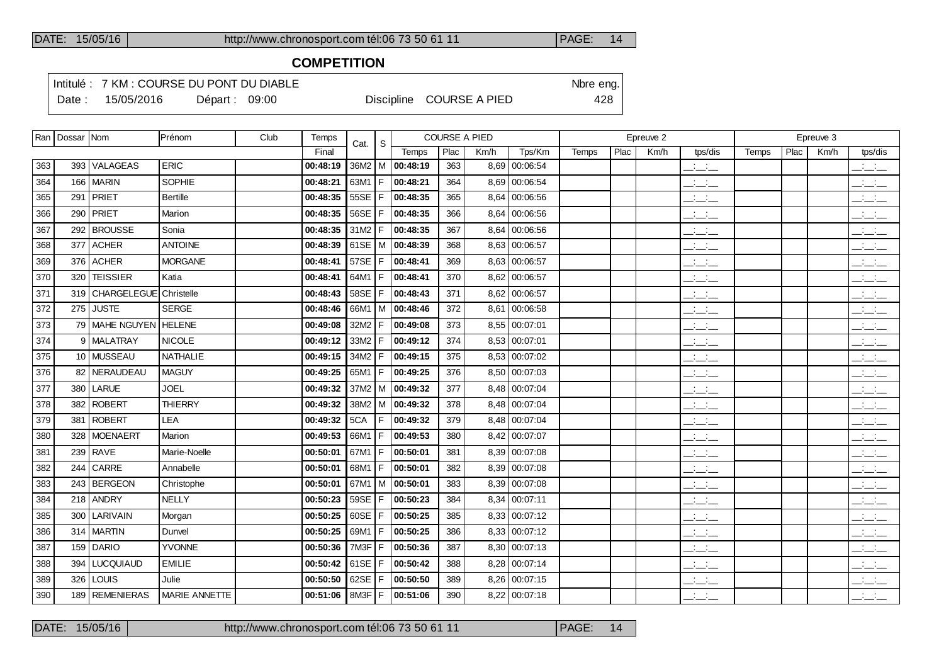### **COMPETITION**

Intitulé : 7 KM : COURSE DU PONT DU DIABLE Note that the state of the SN of the eng.

Date : 15/05/2016 Départ : 09:00 Discipline COURSE A PIED 428

|     | Ran   Dossar   Nom |                                | Prénom          | Club | Temps    | Cat.       | -S  |                                 |      | <b>COURSE A PIED</b> |               |              |      | Epreuve 2 |                                 |       |      | Epreuve 3 |                                                   |
|-----|--------------------|--------------------------------|-----------------|------|----------|------------|-----|---------------------------------|------|----------------------|---------------|--------------|------|-----------|---------------------------------|-------|------|-----------|---------------------------------------------------|
|     |                    |                                |                 |      | Final    |            |     | Temps                           | Plac | Km/h                 | Tps/Km        | <b>Temps</b> | Plac | Km/h      | tps/dis                         | Temps | Plac | Km/h      | tps/dis                                           |
| 363 |                    | 393 VALAGEAS                   | <b>ERIC</b>     |      | 00:48:19 |            |     | $36M2$   M   00:48:19           | 363  |                      | 8,69 00:06:54 |              |      |           | للأسائد                         |       |      |           | $\mathbb{R}$ and $\mathbb{R}$                     |
| 364 |                    | 166   MARIN                    | <b>SOPHIE</b>   |      | 00:48:21 | 63M1 $F$   |     | 00:48:21                        | 364  |                      | 8,69 00:06:54 |              |      |           | $\frac{1}{2}$ and $\frac{1}{2}$ |       |      |           | $\frac{1}{2}$ $\frac{1}{2}$ $\frac{1}{2}$         |
| 365 |                    | 291   PRIET                    | <b>Bertille</b> |      | 00:48:35 | 55SE       | F   | 00:48:35                        | 365  |                      | 8,64 00:06:56 |              |      |           | $\frac{1}{2}$                   |       |      |           | $\frac{1}{2}$                                     |
| 366 |                    | $290$ PRIET                    | Marion          |      | 00:48:35 | 56SE       | F   | 00:48:35                        | 366  |                      | 8,64 00:06:56 |              |      |           | $\frac{1}{2}$                   |       |      |           | $\frac{1}{2}$ $\frac{1}{2}$ $\frac{1}{2}$         |
| 367 |                    | 292 BROUSSE                    | Sonia           |      | 00:48:35 | $31M2$ F   |     | 00:48:35                        | 367  |                      | 8.64 00:06:56 |              |      |           | $\mathcal{L} = \mathcal{L}$     |       |      |           | $\frac{1}{2}$ and $\frac{1}{2}$                   |
| 368 |                    | $377$ ACHER                    | <b>ANTOINE</b>  |      | 00:48:39 | $61SE$ M   |     | 00:48:39                        | 368  |                      | 8,63 00:06:57 |              |      |           | $\mathbb{R}$ and $\mathbb{R}$   |       |      |           | $\frac{1}{2}$ $\frac{1}{2}$                       |
| 369 |                    | 376 ACHER                      | <b>MORGANE</b>  |      | 00:48:41 | 57SE $ F $ |     | 00:48:41                        | 369  |                      | 8,63 00:06:57 |              |      |           | للأسائد                         |       |      |           | $ -$                                              |
| 370 |                    | 320 TEISSIER                   | Katia           |      | 00:48:41 | 64M1   F   |     | 00:48:41                        | 370  |                      | 8,62 00:06:57 |              |      |           | للأسائد                         |       |      |           | بالأسائب                                          |
| 371 |                    | 319   CHARGELEGUE   Christelle |                 |      | 00:48:43 | $58SE$   F |     | 00:48:43                        | 371  |                      | 8,62 00:06:57 |              |      |           | $\mathcal{L} = \mathcal{L}$     |       |      |           | للأسائب                                           |
| 372 |                    | 275 JUSTE                      | <b>SERGE</b>    |      | 00:48:46 |            |     | 66M1   M   00:48:46             | 372  |                      | 8,61 00:06:58 |              |      |           | $  -$                           |       |      |           | $  -$                                             |
| 373 |                    | 79   MAHE NGUYEN   HELENE      |                 |      | 00:49:08 | 32M2       | l F | 00:49:08                        | 373  |                      | 8,55 00:07:01 |              |      |           | للمناصب                         |       |      |           | $\frac{1}{2}$ and $\frac{1}{2}$                   |
| 374 |                    | 9 MALATRAY                     | <b>NICOLE</b>   |      | 00:49:12 | 33M2       | F   | 00:49:12                        | 374  |                      | 8,53 00:07:01 |              |      |           | $\frac{1}{2}$                   |       |      |           | $\overline{\phantom{a}}$                          |
| 375 |                    | 10 MUSSEAU                     | <b>NATHALIE</b> |      | 00:49:15 | 34M2       | l F | 00:49:15                        | 375  |                      | 8,53 00:07:02 |              |      |           | $\frac{1}{2}$                   |       |      |           | للأستخب                                           |
| 376 |                    | 82   NERAUDEAU                 | <b>MAGUY</b>    |      | 00:49:25 | 65M1       | F   | 00:49:25                        | 376  |                      | 8,50 00:07:03 |              |      |           | للمستحق                         |       |      |           | $\frac{1}{2}$                                     |
| 377 |                    | 380 LARUE                      | <b>JOEL</b>     |      | 00:49:32 |            |     | $37M2$ M $\overline{)00:49:32}$ | 377  |                      | 8.48 00:07:04 |              |      |           | $\mathbb{R}$ and $\mathbb{R}$   |       |      |           | للأسائل                                           |
| 378 | 382                | <b>ROBERT</b>                  | <b>THIERRY</b>  |      | 00:49:32 |            |     | $38M2$   M   00:49:32           | 378  |                      | 8,48 00:07:04 |              |      |           | $\frac{1}{2}$                   |       |      |           | $\overline{\phantom{a}}$ $\overline{\phantom{a}}$ |
| 379 |                    | 381   ROBERT                   | LEA             |      | 00:49:32 | 5CA        | F   | 00:49:32                        | 379  |                      | 8,48 00:07:04 |              |      |           | $\mathbb{R}$ and $\mathbb{R}$   |       |      |           | $\frac{1}{2}$ $\frac{1}{2}$ $\frac{1}{2}$         |
| 380 |                    | 328 MOENAERT                   | Marion          |      | 00:49:53 | 66M1       | F   | 00:49:53                        | 380  |                      | 8.42 00:07:07 |              |      |           | $ -$                            |       |      |           | $\frac{1}{2}$ and $\frac{1}{2}$                   |
| 381 |                    | $239$ RAVE                     | Marie-Noelle    |      | 00:50:01 | 67M1   F   |     | 00:50:01                        | 381  |                      | 8,39 00:07:08 |              |      |           | $\frac{1}{2}$ and $\frac{1}{2}$ |       |      |           | $\frac{1}{2}$ $\frac{1}{2}$ $\frac{1}{2}$         |
| 382 | 244                | CARRE                          | Annabelle       |      | 00:50:01 | 68M1       | F   | 00:50:01                        | 382  |                      | 8,39 00:07:08 |              |      |           | للأسائد                         |       |      |           | $\frac{1}{2}$ and $\frac{1}{2}$                   |
| 383 |                    | 243 BERGEON                    | Christophe      |      | 00:50:01 |            |     | 67M1   M $ $ 00:50:01           | 383  |                      | 8.39 00:07:08 |              |      |           | $\frac{1}{2}$ and $\frac{1}{2}$ |       |      |           | $\frac{1}{2}$ $\frac{1}{2}$                       |
| 384 |                    | $218$ ANDRY                    | <b>NELLY</b>    |      | 00:50:23 | 59SE       | F   | 00:50:23                        | 384  |                      | 8,34 00:07:11 |              |      |           | $\frac{1}{2}$                   |       |      |           | $\overline{\phantom{a}}$                          |
| 385 | 300                | <b>LARIVAIN</b>                | Morgan          |      | 00:50:25 | 60SE       | l F | 00:50:25                        | 385  |                      | 8,33 00:07:12 |              |      |           | للمستحق                         |       |      |           | $\overline{\phantom{a}}$                          |
| 386 |                    | 314   MARTIN                   | Dunvel          |      | 00:50:25 | 69M1       | F   | 00:50:25                        | 386  |                      | 8,33 00:07:12 |              |      |           | $-1$                            |       |      |           | $-1$                                              |
| 387 |                    | 159 DARIO                      | <b>YVONNE</b>   |      | 00:50:36 | 7M3F       | F   | 00:50:36                        | 387  |                      | 8,30 00:07:13 |              |      |           | $\frac{1}{2}$ and $\frac{1}{2}$ |       |      |           | $\frac{1}{2}$ $\frac{1}{2}$                       |
| 388 |                    | 394   LUCQUIAUD                | <b>EMILIE</b>   |      | 00:50:42 | 61SE $ F $ |     | 00:50:42                        | 388  |                      | 8,28 00:07:14 |              |      |           | $\mathcal{L} = \mathcal{L}$     |       |      |           | بالمنابذ                                          |
| 389 | 326                | <b>LOUIS</b>                   | Julie           |      | 00:50:50 | $62SE$   F |     | 00:50:50                        | 389  |                      | 8,26 00:07:15 |              |      |           | $ -$                            |       |      |           | $ -$                                              |
| 390 |                    | 189 REMENIERAS                 | MARIE ANNETTE   |      | 00:51:06 | 8M3F F     |     | 00:51:06                        | 390  |                      | 8,22 00:07:18 |              |      |           | <b>Contract</b><br>$  -$        |       |      |           | للأسائب                                           |